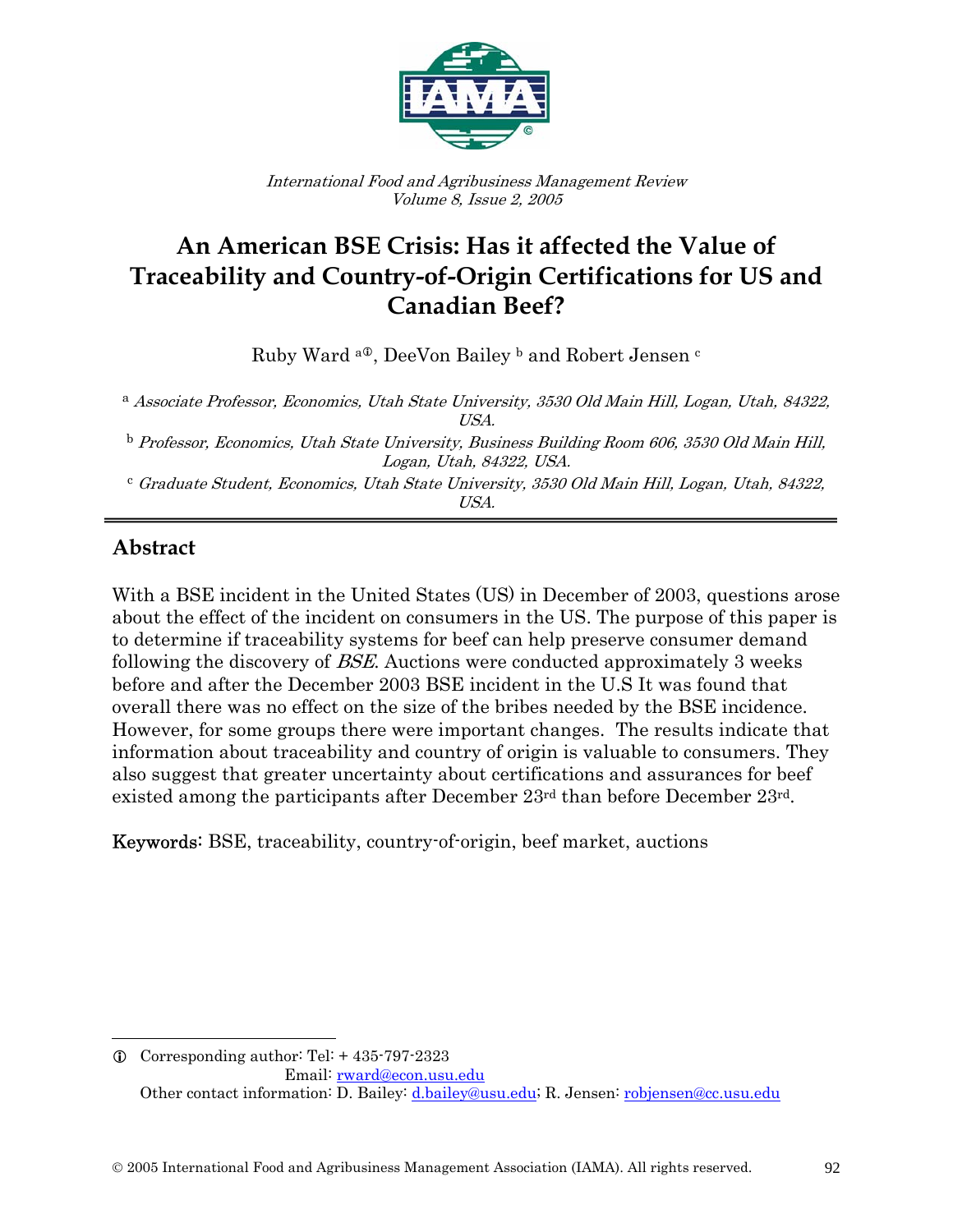

International Food and Agribusiness Management Review Volume 8, Issue 2, 2005

# **An American BSE Crisis: Has it affected the Value of Traceability and Country-of-Origin Certifications for US and Canadian Beef?**

Ruby Ward <sup>a®</sup>, DeeVon Bailey <sup>b</sup> and Robert Jensen <sup>c</sup>

<sup>a</sup> Associate Professor, Economics, Utah State University, 3530 Old Main Hill, Logan, Utah, 84322, USA.

<sup>b</sup> Professor, Economics, Utah State University, Business Building Room 606, 3530 Old Main Hill, Logan, Utah, 84322, USA.

<sup>c</sup> Graduate Student, Economics, Utah State University, 3530 Old Main Hill, Logan, Utah, 84322, USA.

#### ī **Abstract**

 $\overline{a}$ 

With a BSE incident in the United States (US) in December of 2003, questions arose about the effect of the incident on consumers in the US. The purpose of this paper is to determine if traceability systems for beef can help preserve consumer demand following the discovery of BSE. Auctions were conducted approximately 3 weeks before and after the December 2003 BSE incident in the U.S It was found that overall there was no effect on the size of the bribes needed by the BSE incidence. However, for some groups there were important changes. The results indicate that information about traceability and country of origin is valuable to consumers. They also suggest that greater uncertainty about certifications and assurances for beef existed among the participants after December 23rd than before December 23rd.

Keywords: BSE, traceability, country-of-origin, beef market, auctions

 $Q$  Corresponding author: Tel: + 435-797-2323 Email: rward@econ.usu.edu Other contact information: D. Bailey: d.bailey@usu.edu; R. Jensen: robjensen@cc.usu.edu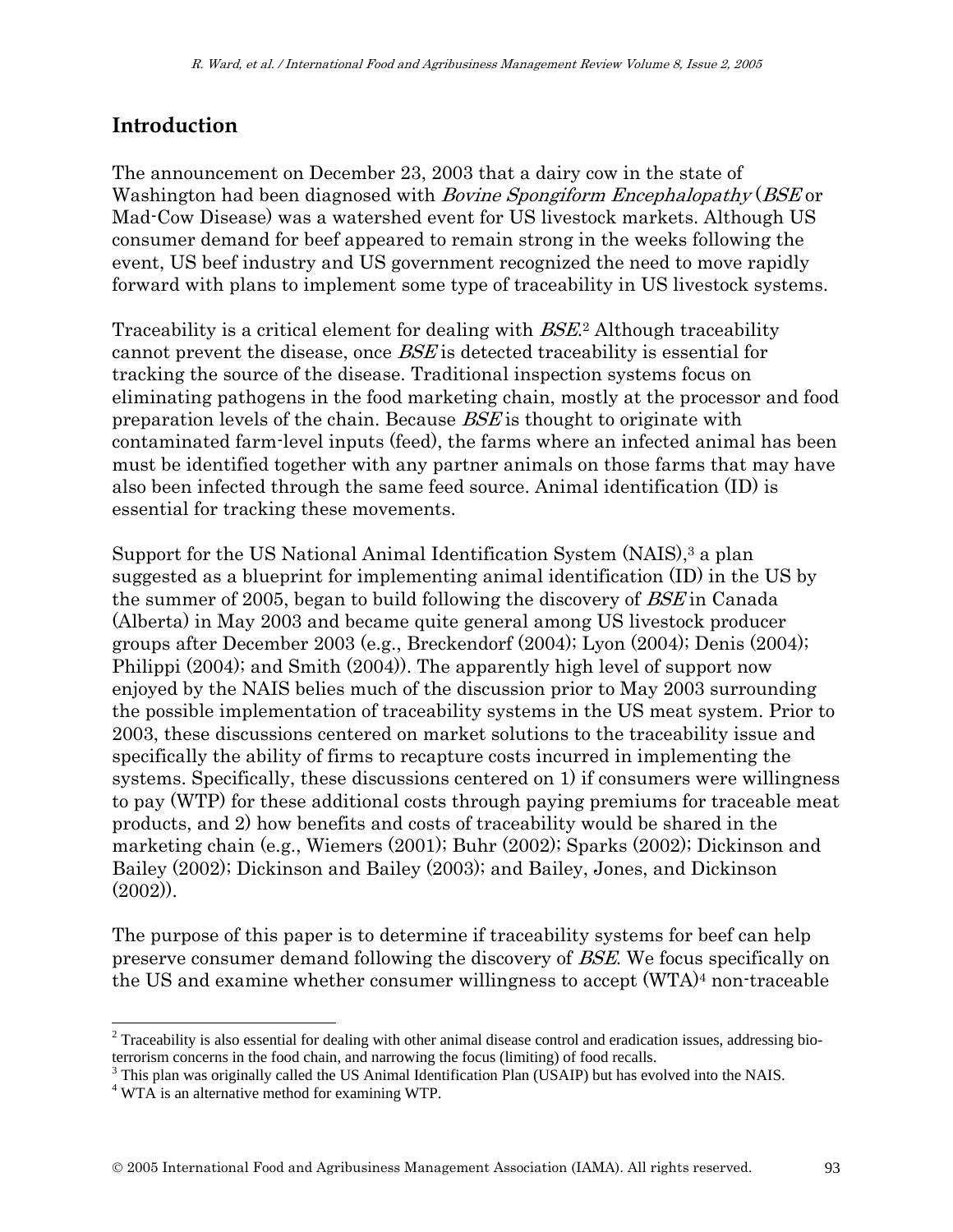# **Introduction**

The announcement on December 23, 2003 that a dairy cow in the state of Washington had been diagnosed with *Bovine Spongiform Encephalopathy* (*BSE* or Mad-Cow Disease) was a watershed event for US livestock markets. Although US consumer demand for beef appeared to remain strong in the weeks following the event, US beef industry and US government recognized the need to move rapidly forward with plans to implement some type of traceability in US livestock systems.

Traceability is a critical element for dealing with BSE.2 Although traceability cannot prevent the disease, once BSE is detected traceability is essential for tracking the source of the disease. Traditional inspection systems focus on eliminating pathogens in the food marketing chain, mostly at the processor and food preparation levels of the chain. Because BSE is thought to originate with contaminated farm-level inputs (feed), the farms where an infected animal has been must be identified together with any partner animals on those farms that may have also been infected through the same feed source. Animal identification (ID) is essential for tracking these movements.

Support for the US National Animal Identification System (NAIS),3 a plan suggested as a blueprint for implementing animal identification (ID) in the US by the summer of 2005, began to build following the discovery of *BSE* in Canada (Alberta) in May 2003 and became quite general among US livestock producer groups after December 2003 (e.g., Breckendorf (2004); Lyon (2004); Denis (2004); Philippi (2004); and Smith (2004)). The apparently high level of support now enjoyed by the NAIS belies much of the discussion prior to May 2003 surrounding the possible implementation of traceability systems in the US meat system. Prior to 2003, these discussions centered on market solutions to the traceability issue and specifically the ability of firms to recapture costs incurred in implementing the systems. Specifically, these discussions centered on 1) if consumers were willingness to pay (WTP) for these additional costs through paying premiums for traceable meat products, and 2) how benefits and costs of traceability would be shared in the marketing chain (e.g., Wiemers (2001); Buhr (2002); Sparks (2002); Dickinson and Bailey (2002); Dickinson and Bailey (2003); and Bailey, Jones, and Dickinson (2002)).

The purpose of this paper is to determine if traceability systems for beef can help preserve consumer demand following the discovery of BSE. We focus specifically on the US and examine whether consumer willingness to accept (WTA)4 non-traceable

 $2$  Traceability is also essential for dealing with other animal disease control and eradication issues, addressing bioterrorism concerns in the food chain, and narrowing the focus (limiting) of food recalls.

<sup>&</sup>lt;sup>3</sup> This plan was originally called the US Animal Identification Plan (USAIP) but has evolved into the NAIS.  $4 \text{ WTA}$  is an elternative mathod for examining WTD.

WTA is an alternative method for examining WTP.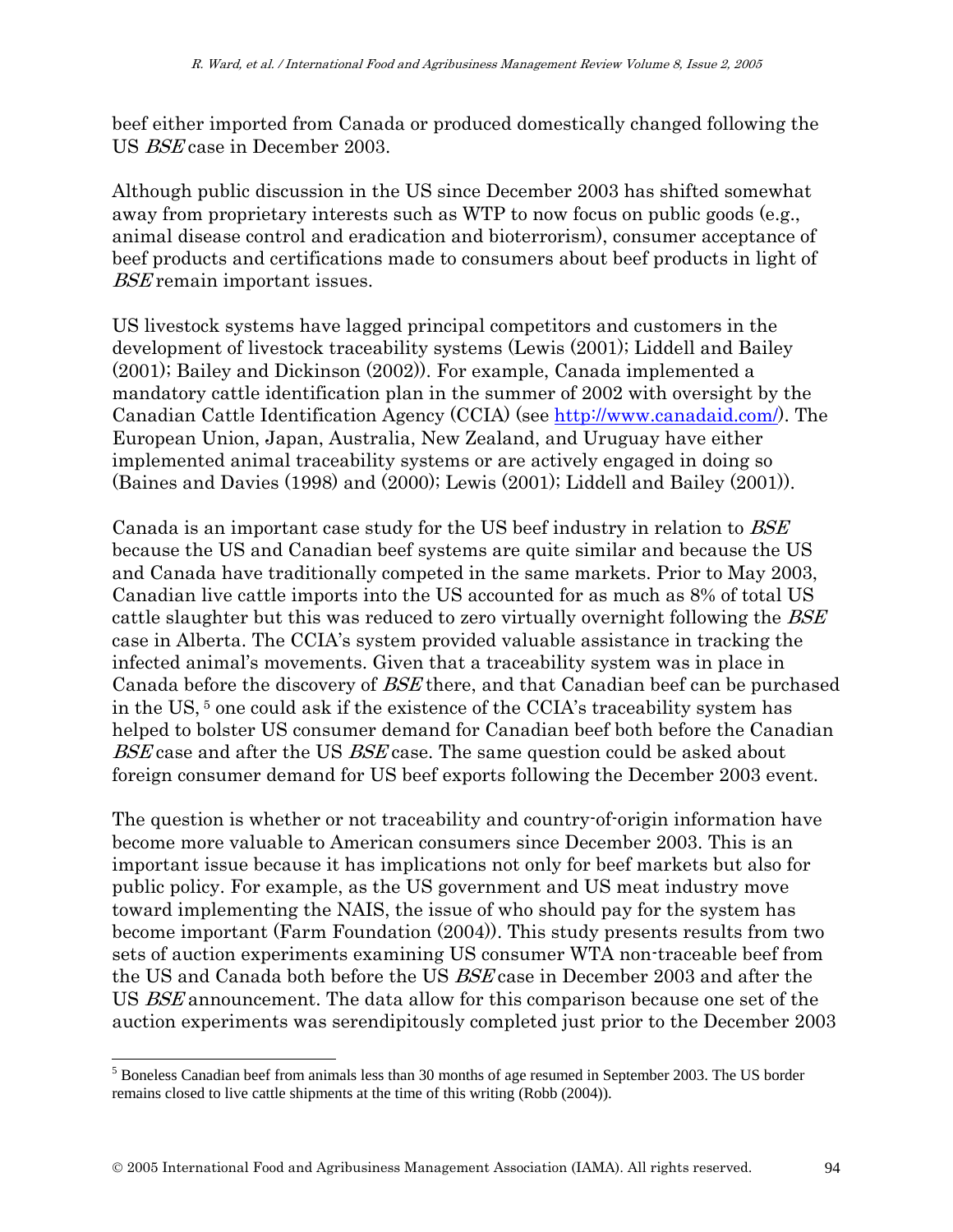beef either imported from Canada or produced domestically changed following the US BSE case in December 2003.

Although public discussion in the US since December 2003 has shifted somewhat away from proprietary interests such as WTP to now focus on public goods (e.g., animal disease control and eradication and bioterrorism), consumer acceptance of beef products and certifications made to consumers about beef products in light of BSE remain important issues.

US livestock systems have lagged principal competitors and customers in the development of livestock traceability systems (Lewis (2001); Liddell and Bailey (2001); Bailey and Dickinson (2002)). For example, Canada implemented a mandatory cattle identification plan in the summer of 2002 with oversight by the Canadian Cattle Identification Agency (CCIA) (see http://www.canadaid.com/). The European Union, Japan, Australia, New Zealand, and Uruguay have either implemented animal traceability systems or are actively engaged in doing so (Baines and Davies (1998) and (2000); Lewis (2001); Liddell and Bailey (2001)).

Canada is an important case study for the US beef industry in relation to BSE because the US and Canadian beef systems are quite similar and because the US and Canada have traditionally competed in the same markets. Prior to May 2003, Canadian live cattle imports into the US accounted for as much as 8% of total US cattle slaughter but this was reduced to zero virtually overnight following the *BSE* case in Alberta. The CCIA's system provided valuable assistance in tracking the infected animal's movements. Given that a traceability system was in place in Canada before the discovery of BSE there, and that Canadian beef can be purchased in the US, 5 one could ask if the existence of the CCIA's traceability system has helped to bolster US consumer demand for Canadian beef both before the Canadian BSE case and after the US BSE case. The same question could be asked about foreign consumer demand for US beef exports following the December 2003 event.

The question is whether or not traceability and country-of-origin information have become more valuable to American consumers since December 2003. This is an important issue because it has implications not only for beef markets but also for public policy. For example, as the US government and US meat industry move toward implementing the NAIS, the issue of who should pay for the system has become important (Farm Foundation (2004)). This study presents results from two sets of auction experiments examining US consumer WTA non-traceable beef from the US and Canada both before the US BSE case in December 2003 and after the US BSE announcement. The data allow for this comparison because one set of the auction experiments was serendipitously completed just prior to the December 2003

l

<sup>&</sup>lt;sup>5</sup> Boneless Canadian beef from animals less than 30 months of age resumed in September 2003. The US border remains closed to live cattle shipments at the time of this writing (Robb (2004)).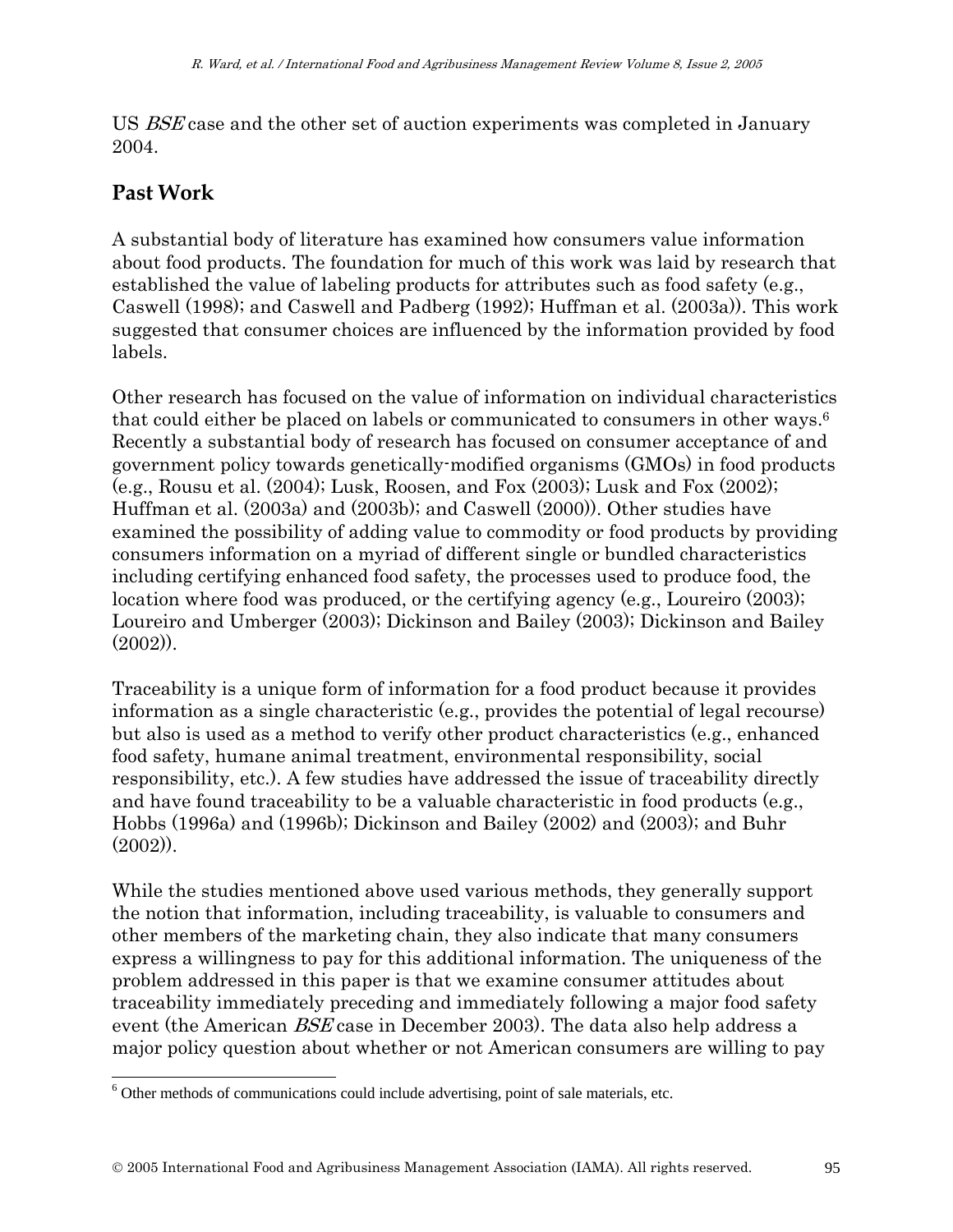US BSE case and the other set of auction experiments was completed in January 2004.

# **Past Work**

A substantial body of literature has examined how consumers value information about food products. The foundation for much of this work was laid by research that established the value of labeling products for attributes such as food safety (e.g., Caswell (1998); and Caswell and Padberg (1992); Huffman et al. (2003a)). This work suggested that consumer choices are influenced by the information provided by food labels.

Other research has focused on the value of information on individual characteristics that could either be placed on labels or communicated to consumers in other ways.6 Recently a substantial body of research has focused on consumer acceptance of and government policy towards genetically-modified organisms (GMOs) in food products (e.g., Rousu et al. (2004); Lusk, Roosen, and Fox (2003); Lusk and Fox (2002); Huffman et al. (2003a) and (2003b); and Caswell (2000)). Other studies have examined the possibility of adding value to commodity or food products by providing consumers information on a myriad of different single or bundled characteristics including certifying enhanced food safety, the processes used to produce food, the location where food was produced, or the certifying agency (e.g., Loureiro (2003); Loureiro and Umberger (2003); Dickinson and Bailey (2003); Dickinson and Bailey (2002)).

Traceability is a unique form of information for a food product because it provides information as a single characteristic (e.g., provides the potential of legal recourse) but also is used as a method to verify other product characteristics (e.g., enhanced food safety, humane animal treatment, environmental responsibility, social responsibility, etc.). A few studies have addressed the issue of traceability directly and have found traceability to be a valuable characteristic in food products (e.g., Hobbs (1996a) and (1996b); Dickinson and Bailey (2002) and (2003); and Buhr  $(2002)$ ).

While the studies mentioned above used various methods, they generally support the notion that information, including traceability, is valuable to consumers and other members of the marketing chain, they also indicate that many consumers express a willingness to pay for this additional information. The uniqueness of the problem addressed in this paper is that we examine consumer attitudes about traceability immediately preceding and immediately following a major food safety event (the American BSE case in December 2003). The data also help address a major policy question about whether or not American consumers are willing to pay

 6 Other methods of communications could include advertising, point of sale materials, etc.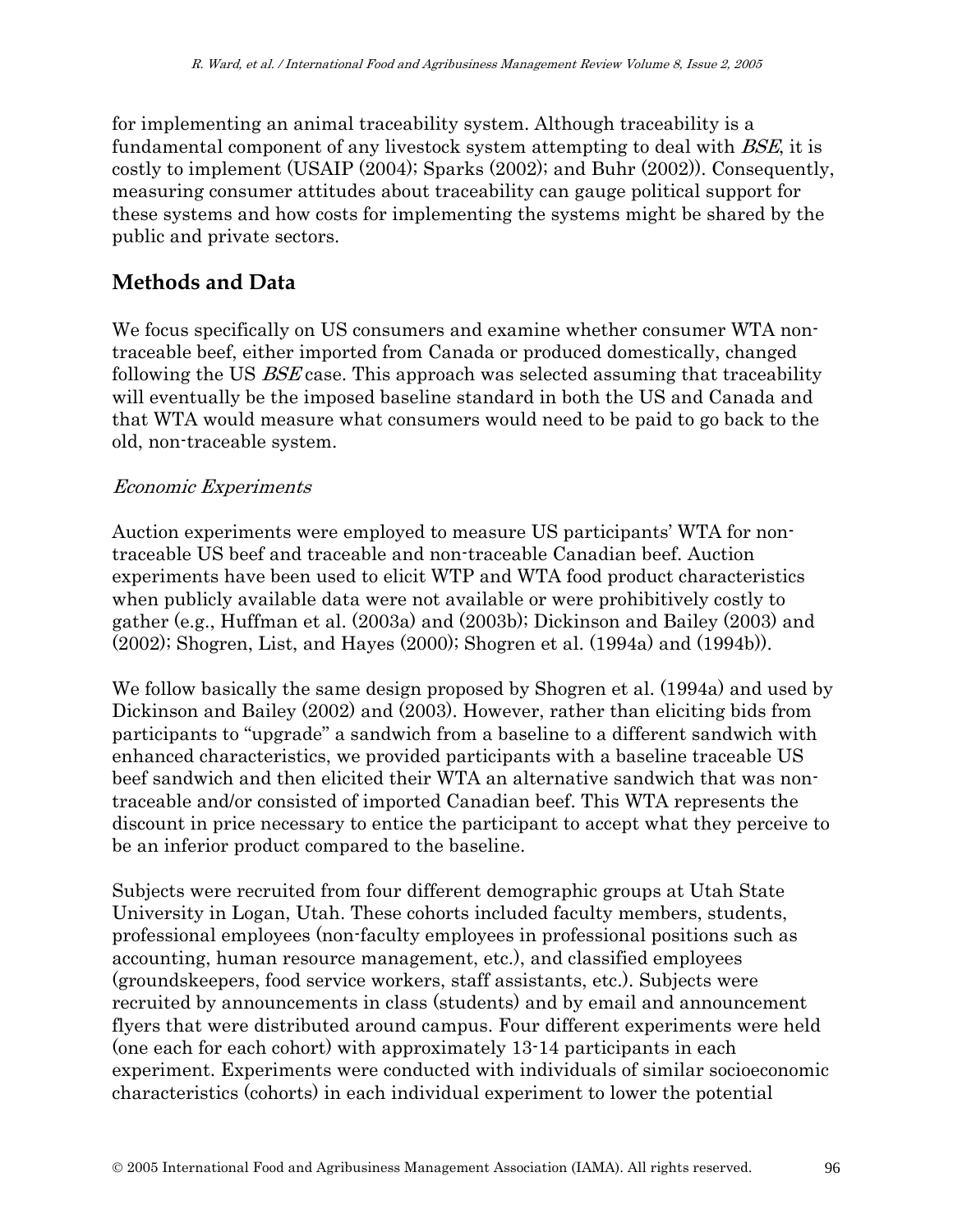for implementing an animal traceability system. Although traceability is a fundamental component of any livestock system attempting to deal with BSE, it is costly to implement (USAIP (2004); Sparks (2002); and Buhr (2002)). Consequently, measuring consumer attitudes about traceability can gauge political support for these systems and how costs for implementing the systems might be shared by the public and private sectors.

### **Methods and Data**

We focus specifically on US consumers and examine whether consumer WTA nontraceable beef, either imported from Canada or produced domestically, changed following the US BSE case. This approach was selected assuming that traceability will eventually be the imposed baseline standard in both the US and Canada and that WTA would measure what consumers would need to be paid to go back to the old, non-traceable system.

#### Economic Experiments

Auction experiments were employed to measure US participants' WTA for nontraceable US beef and traceable and non-traceable Canadian beef. Auction experiments have been used to elicit WTP and WTA food product characteristics when publicly available data were not available or were prohibitively costly to gather (e.g., Huffman et al. (2003a) and (2003b); Dickinson and Bailey (2003) and (2002); Shogren, List, and Hayes (2000); Shogren et al. (1994a) and (1994b)).

We follow basically the same design proposed by Shogren et al. (1994a) and used by Dickinson and Bailey (2002) and (2003). However, rather than eliciting bids from participants to "upgrade" a sandwich from a baseline to a different sandwich with enhanced characteristics, we provided participants with a baseline traceable US beef sandwich and then elicited their WTA an alternative sandwich that was nontraceable and/or consisted of imported Canadian beef. This WTA represents the discount in price necessary to entice the participant to accept what they perceive to be an inferior product compared to the baseline.

Subjects were recruited from four different demographic groups at Utah State University in Logan, Utah. These cohorts included faculty members, students, professional employees (non-faculty employees in professional positions such as accounting, human resource management, etc.), and classified employees (groundskeepers, food service workers, staff assistants, etc.). Subjects were recruited by announcements in class (students) and by email and announcement flyers that were distributed around campus. Four different experiments were held (one each for each cohort) with approximately 13-14 participants in each experiment. Experiments were conducted with individuals of similar socioeconomic characteristics (cohorts) in each individual experiment to lower the potential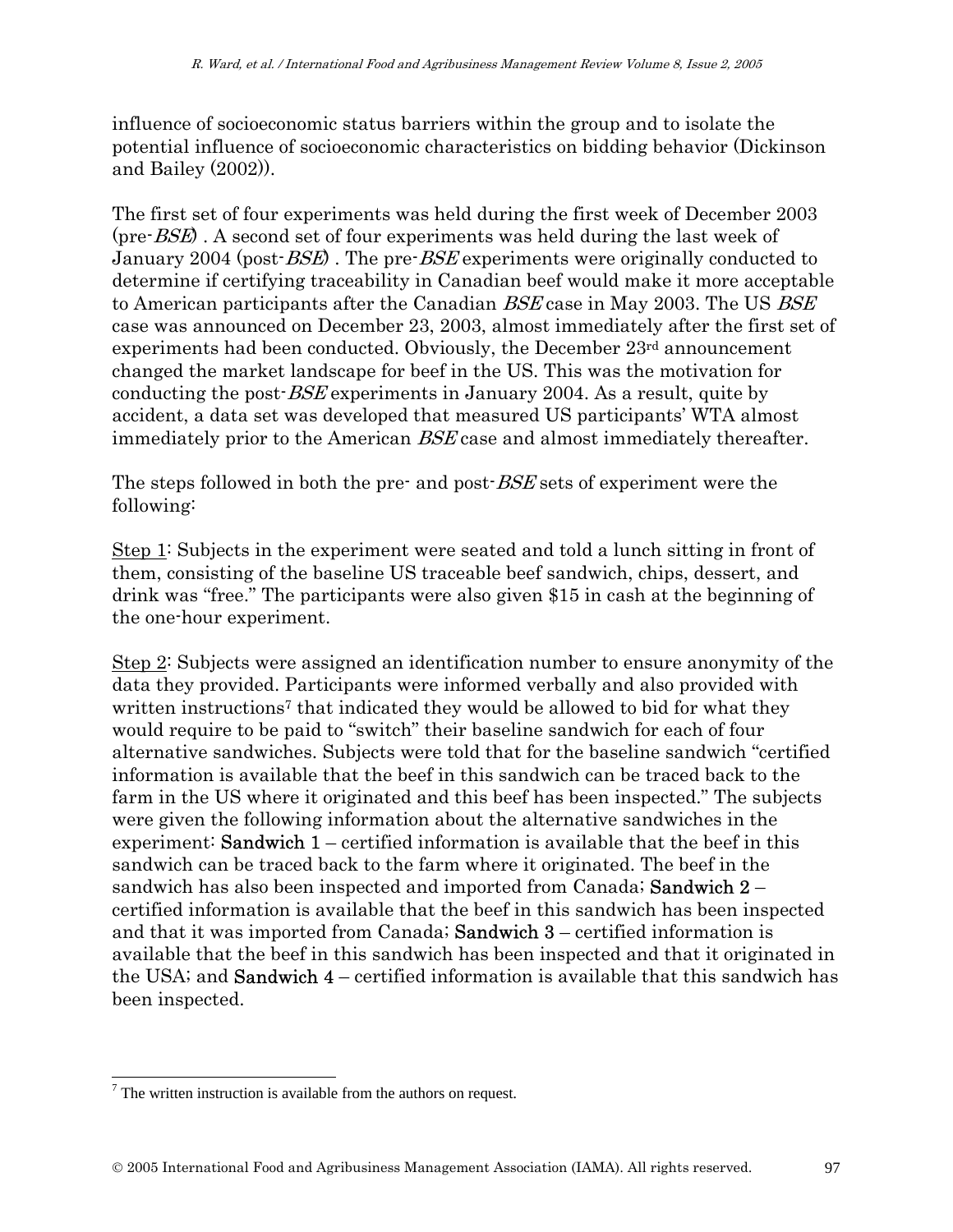influence of socioeconomic status barriers within the group and to isolate the potential influence of socioeconomic characteristics on bidding behavior (Dickinson and Bailey (2002)).

The first set of four experiments was held during the first week of December 2003 (pre-BSE) . A second set of four experiments was held during the last week of January 2004 (post- $BSE$ ). The pre- $BSE$  experiments were originally conducted to determine if certifying traceability in Canadian beef would make it more acceptable to American participants after the Canadian BSE case in May 2003. The US BSE case was announced on December 23, 2003, almost immediately after the first set of experiments had been conducted. Obviously, the December 23rd announcement changed the market landscape for beef in the US. This was the motivation for conducting the post-BSE experiments in January 2004. As a result, quite by accident, a data set was developed that measured US participants' WTA almost immediately prior to the American BSE case and almost immediately thereafter.

The steps followed in both the pre- and post-*BSE* sets of experiment were the following:

Step 1: Subjects in the experiment were seated and told a lunch sitting in front of them, consisting of the baseline US traceable beef sandwich, chips, dessert, and drink was "free." The participants were also given \$15 in cash at the beginning of the one-hour experiment.

Step 2: Subjects were assigned an identification number to ensure anonymity of the data they provided. Participants were informed verbally and also provided with written instructions<sup>7</sup> that indicated they would be allowed to bid for what they would require to be paid to "switch" their baseline sandwich for each of four alternative sandwiches. Subjects were told that for the baseline sandwich "certified information is available that the beef in this sandwich can be traced back to the farm in the US where it originated and this beef has been inspected." The subjects were given the following information about the alternative sandwiches in the experiment: **Sandwich 1** – certified information is available that the beef in this sandwich can be traced back to the farm where it originated. The beef in the sandwich has also been inspected and imported from Canada; **Sandwich 2** – certified information is available that the beef in this sandwich has been inspected and that it was imported from Canada; Sandwich 3 – certified information is available that the beef in this sandwich has been inspected and that it originated in the USA; and **Sandwich 4** – certified information is available that this sandwich has been inspected.

 $<sup>7</sup>$  The written instruction is available from the authors on request.</sup>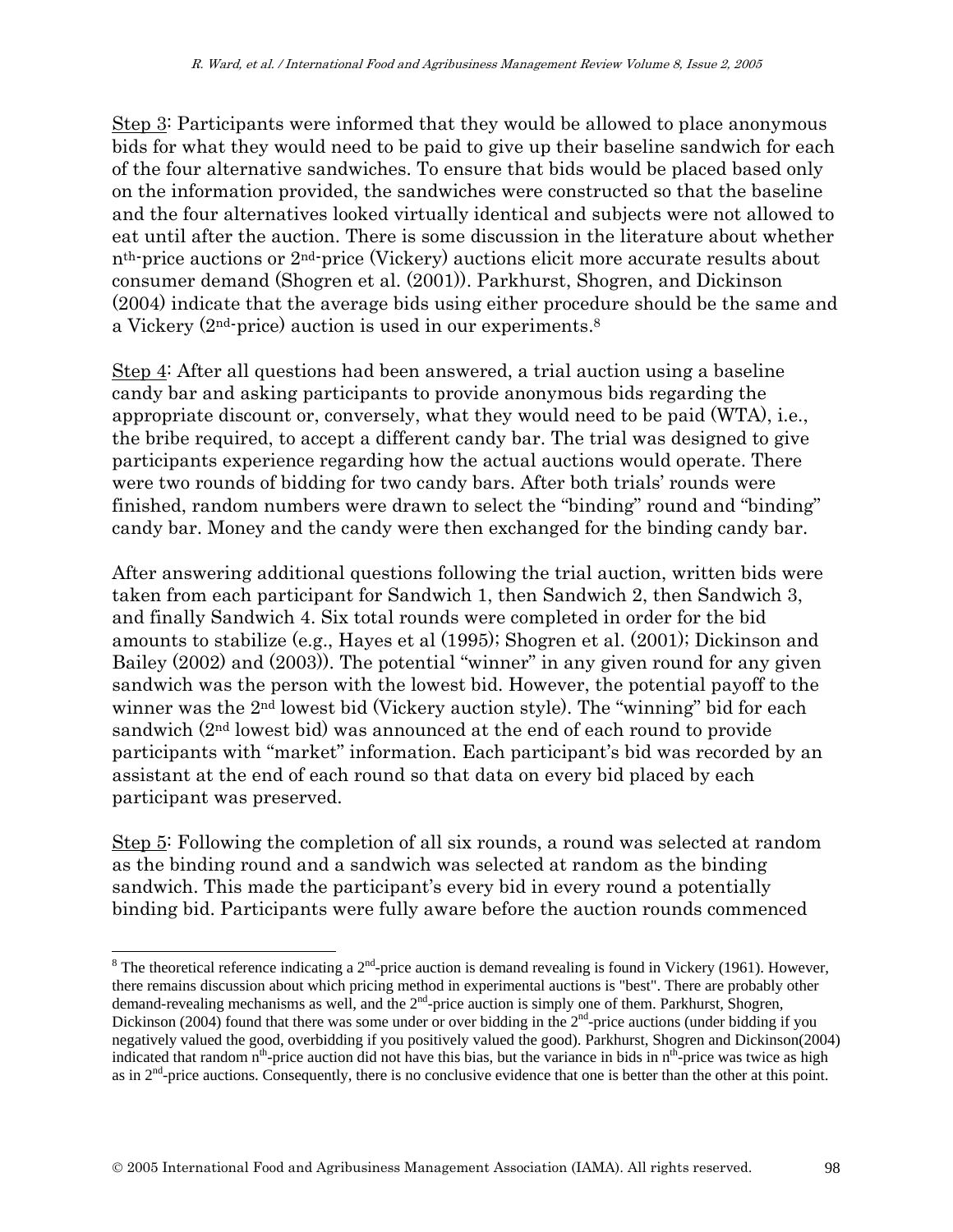Step 3: Participants were informed that they would be allowed to place anonymous bids for what they would need to be paid to give up their baseline sandwich for each of the four alternative sandwiches. To ensure that bids would be placed based only on the information provided, the sandwiches were constructed so that the baseline and the four alternatives looked virtually identical and subjects were not allowed to eat until after the auction. There is some discussion in the literature about whether nth-price auctions or 2nd-price (Vickery) auctions elicit more accurate results about consumer demand (Shogren et al. (2001)). Parkhurst, Shogren, and Dickinson (2004) indicate that the average bids using either procedure should be the same and a Vickery (2nd-price) auction is used in our experiments.8

Step 4: After all questions had been answered, a trial auction using a baseline candy bar and asking participants to provide anonymous bids regarding the appropriate discount or, conversely, what they would need to be paid (WTA), i.e., the bribe required, to accept a different candy bar. The trial was designed to give participants experience regarding how the actual auctions would operate. There were two rounds of bidding for two candy bars. After both trials' rounds were finished, random numbers were drawn to select the "binding" round and "binding" candy bar. Money and the candy were then exchanged for the binding candy bar.

After answering additional questions following the trial auction, written bids were taken from each participant for Sandwich 1, then Sandwich 2, then Sandwich 3, and finally Sandwich 4. Six total rounds were completed in order for the bid amounts to stabilize (e.g., Hayes et al (1995); Shogren et al. (2001); Dickinson and Bailey (2002) and (2003)). The potential "winner" in any given round for any given sandwich was the person with the lowest bid. However, the potential payoff to the winner was the 2<sup>nd</sup> lowest bid (Vickery auction style). The "winning" bid for each sandwich (2nd lowest bid) was announced at the end of each round to provide participants with "market" information. Each participant's bid was recorded by an assistant at the end of each round so that data on every bid placed by each participant was preserved.

Step 5: Following the completion of all six rounds, a round was selected at random as the binding round and a sandwich was selected at random as the binding sandwich. This made the participant's every bid in every round a potentially binding bid. Participants were fully aware before the auction rounds commenced

<sup>&</sup>lt;sup>8</sup> The theoretical reference indicating a  $2^{nd}$ -price auction is demand revealing is found in Vickery (1961). However, there remains discussion about which pricing method in experimental auctions is "best". There are probably other demand-revealing mechanisms as well, and the 2<sup>nd</sup>-price auction is simply one of them. Parkhurst, Shogren, Dickinson (2004) found that there was some under or over bidding in the  $2<sup>nd</sup>$ -price auctions (under bidding if you negatively valued the good, overbidding if you positively valued the good). Parkhurst, Shogren and Dickinson(2004) indicated that random n<sup>th</sup>-price auction did not have this bias, but the variance in bids in n<sup>th</sup>-price was twice as high as in  $2<sup>nd</sup>$ -price auctions. Consequently, there is no conclusive evidence that one is better than the other at this point.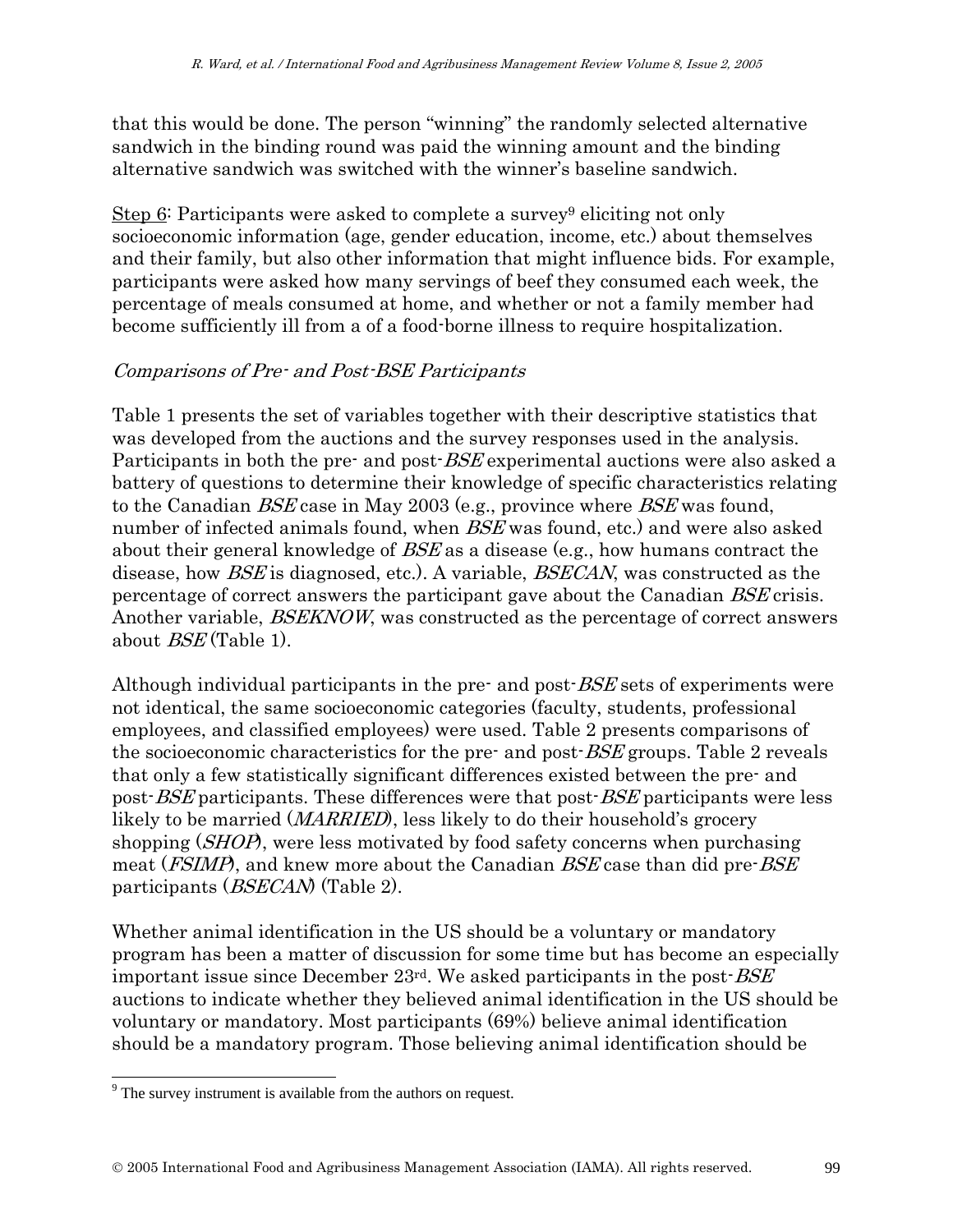that this would be done. The person "winning" the randomly selected alternative sandwich in the binding round was paid the winning amount and the binding alternative sandwich was switched with the winner's baseline sandwich.

Step 6: Participants were asked to complete a survey<sup>9</sup> eliciting not only socioeconomic information (age, gender education, income, etc.) about themselves and their family, but also other information that might influence bids. For example, participants were asked how many servings of beef they consumed each week, the percentage of meals consumed at home, and whether or not a family member had become sufficiently ill from a of a food-borne illness to require hospitalization.

#### Comparisons of Pre- and Post-BSE Participants

Table 1 presents the set of variables together with their descriptive statistics that was developed from the auctions and the survey responses used in the analysis. Participants in both the pre- and post-*BSE* experimental auctions were also asked a battery of questions to determine their knowledge of specific characteristics relating to the Canadian BSE case in May 2003 (e.g., province where BSE was found, number of infected animals found, when *BSE* was found, etc.) and were also asked about their general knowledge of  $BSE$  as a disease (e.g., how humans contract the disease, how *BSE* is diagnosed, etc.). A variable, *BSECAN*, was constructed as the percentage of correct answers the participant gave about the Canadian BSE crisis. Another variable, *BSEKNOW*, was constructed as the percentage of correct answers about BSE (Table 1).

Although individual participants in the pre- and post-*BSE* sets of experiments were not identical, the same socioeconomic categories (faculty, students, professional employees, and classified employees) were used. Table 2 presents comparisons of the socioeconomic characteristics for the pre- and post-BSE groups. Table 2 reveals that only a few statistically significant differences existed between the pre- and post-BSE participants. These differences were that post-BSE participants were less likely to be married (*MARRIED*), less likely to do their household's grocery shopping (*SHOP*), were less motivated by food safety concerns when purchasing meat (*FSIMP*), and knew more about the Canadian *BSE* case than did pre-*BSE* participants (BSECAN) (Table 2).

Whether animal identification in the US should be a voluntary or mandatory program has been a matter of discussion for some time but has become an especially important issue since December  $23<sup>rd</sup>$ . We asked participants in the post- $BSE$ auctions to indicate whether they believed animal identification in the US should be voluntary or mandatory. Most participants (69%) believe animal identification should be a mandatory program. Those believing animal identification should be

 $9^9$  The survey instrument is available from the authors on request.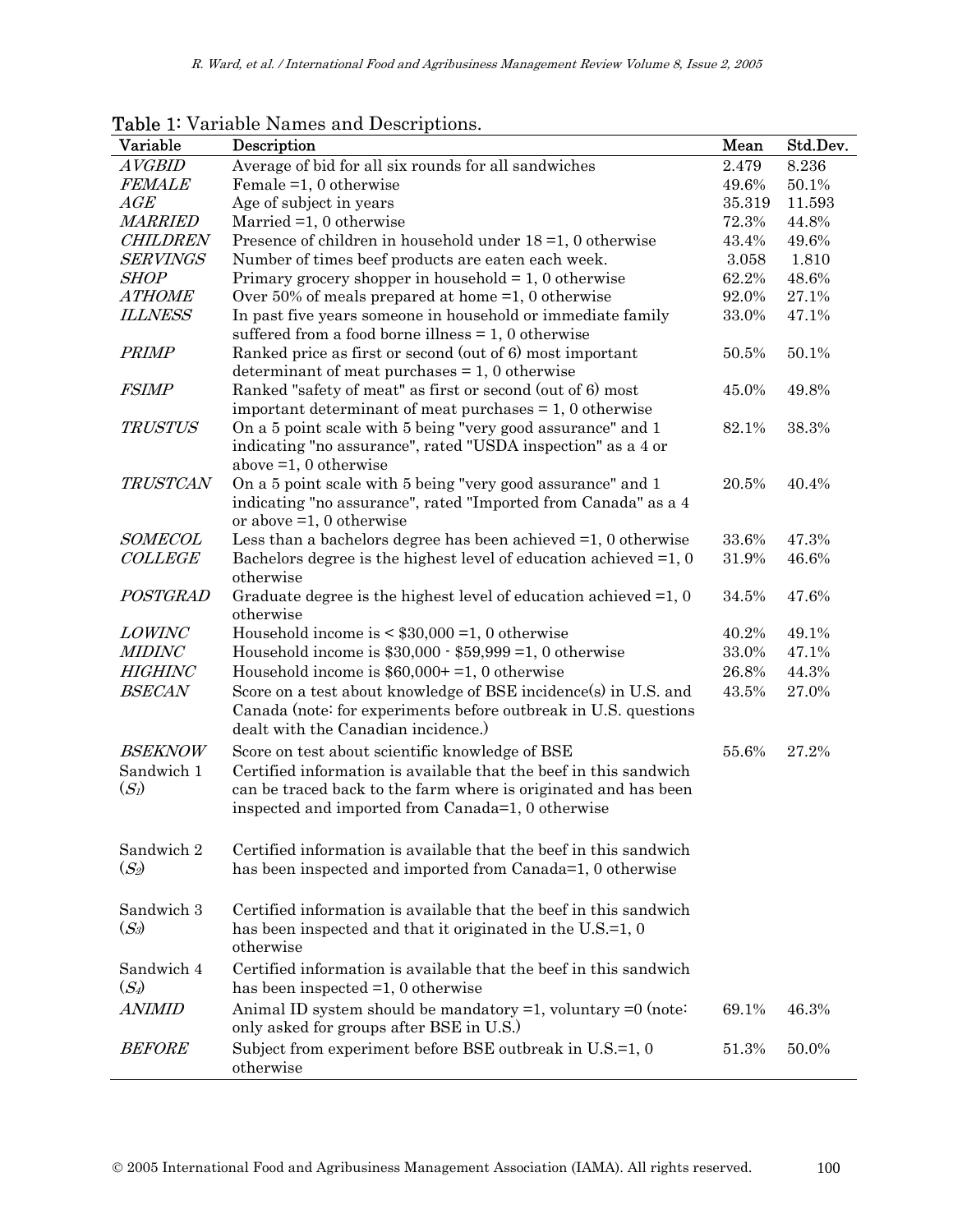| Variable              | Description                                                                                                                                                               | Mean     | Std.Dev. |
|-----------------------|---------------------------------------------------------------------------------------------------------------------------------------------------------------------------|----------|----------|
| <b>AVGBID</b>         | Average of bid for all six rounds for all sandwiches                                                                                                                      | 2.479    | 8.236    |
| <b>FEMALE</b>         | Female $=1, 0$ otherwise                                                                                                                                                  | 49.6%    | 50.1%    |
| AGE                   | Age of subject in years                                                                                                                                                   | 35.319   | 11.593   |
| <b>MARRIED</b>        | Married $=1, 0$ otherwise                                                                                                                                                 | 72.3%    | 44.8%    |
| <b>CHILDREN</b>       | Presence of children in household under $18 = 1$ , 0 otherwise                                                                                                            | 43.4%    | 49.6%    |
| <b>SERVINGS</b>       | Number of times beef products are eaten each week.                                                                                                                        | 3.058    | 1.810    |
| <b>SHOP</b>           | Primary grocery shopper in household $= 1, 0$ otherwise                                                                                                                   | 62.2%    | 48.6%    |
| <b>ATHOME</b>         | Over 50% of meals prepared at home $=1$ , 0 otherwise                                                                                                                     | 92.0%    | 27.1%    |
| <b>ILLNESS</b>        | In past five years someone in household or immediate family<br>suffered from a food borne illness $= 1$ , 0 otherwise                                                     | 33.0%    | 47.1%    |
| PRIMP                 | Ranked price as first or second (out of 6) most important                                                                                                                 | $50.5\%$ | 50.1%    |
|                       | determinant of meat purchases $= 1, 0$ otherwise                                                                                                                          |          |          |
| <b>FSIMP</b>          | Ranked "safety of meat" as first or second (out of 6) most                                                                                                                | 45.0%    | 49.8%    |
|                       | important determinant of meat purchases $= 1, 0$ otherwise                                                                                                                |          |          |
| <b>TRUSTUS</b>        | On a 5 point scale with 5 being "very good assurance" and 1                                                                                                               | 82.1%    | 38.3%    |
|                       | indicating "no assurance", rated "USDA inspection" as a 4 or                                                                                                              |          |          |
| <b>TRUSTCAN</b>       | above $=1, 0$ otherwise                                                                                                                                                   | 20.5%    | 40.4%    |
|                       | On a 5 point scale with 5 being "very good assurance" and 1                                                                                                               |          |          |
|                       | indicating "no assurance", rated "Imported from Canada" as a 4<br>or above $=1, 0$ otherwise                                                                              |          |          |
| <b>SOMECOL</b>        | Less than a bachelors degree has been achieved $=1, 0$ otherwise                                                                                                          | 33.6%    | 47.3%    |
| <b>COLLEGE</b>        | Bachelors degree is the highest level of education achieved $=1, 0$<br>otherwise                                                                                          | 31.9%    | 46.6%    |
| POSTGRAD              | Graduate degree is the highest level of education achieved $=1, 0$                                                                                                        | 34.5%    | 47.6%    |
|                       | otherwise                                                                                                                                                                 |          |          |
| <b>LOWINC</b>         | Household income is $\leq$ \$30,000 = 1, 0 otherwise                                                                                                                      | 40.2%    | 49.1%    |
| <b>MIDINC</b>         | Household income is $$30,000 \cdot $59,999 = 1,0$ otherwise                                                                                                               | 33.0%    | 47.1%    |
| <b>HIGHINC</b>        | Household income is $$60,000+=1,0$ otherwise                                                                                                                              | 26.8%    | 44.3%    |
| <b>BSECAN</b>         | Score on a test about knowledge of BSE incidence(s) in U.S. and<br>Canada (note: for experiments before outbreak in U.S. questions<br>dealt with the Canadian incidence.) | 43.5%    | 27.0%    |
| <b>BSEKNOW</b>        | Score on test about scientific knowledge of BSE                                                                                                                           | 55.6%    | 27.2%    |
| Sandwich 1            | Certified information is available that the beef in this sandwich                                                                                                         |          |          |
| $(S_l)$               | can be traced back to the farm where is originated and has been                                                                                                           |          |          |
|                       | inspected and imported from Canada=1, 0 otherwise                                                                                                                         |          |          |
|                       |                                                                                                                                                                           |          |          |
| Sandwich 2            | Certified information is available that the beef in this sandwich                                                                                                         |          |          |
| $(S_2)$               | has been inspected and imported from Canada=1, 0 otherwise                                                                                                                |          |          |
| Sandwich 3            | Certified information is available that the beef in this sandwich                                                                                                         |          |          |
| $(S_3)$               | has been inspected and that it originated in the U.S.=1, 0<br>otherwise                                                                                                   |          |          |
| Sandwich 4<br>$(S_4)$ | Certified information is available that the beef in this sandwich<br>has been inspected $=1$ , 0 otherwise                                                                |          |          |
| <b>ANIMID</b>         | Animal ID system should be mandatory $=1$ , voluntary $=0$ (note:                                                                                                         | 69.1%    | 46.3%    |
|                       | only asked for groups after BSE in U.S.)                                                                                                                                  |          |          |
| <b>BEFORE</b>         | Subject from experiment before BSE outbreak in U.S.=1, 0<br>otherwise                                                                                                     | 51.3%    | 50.0%    |

Table 1: Variable Names and Descriptions.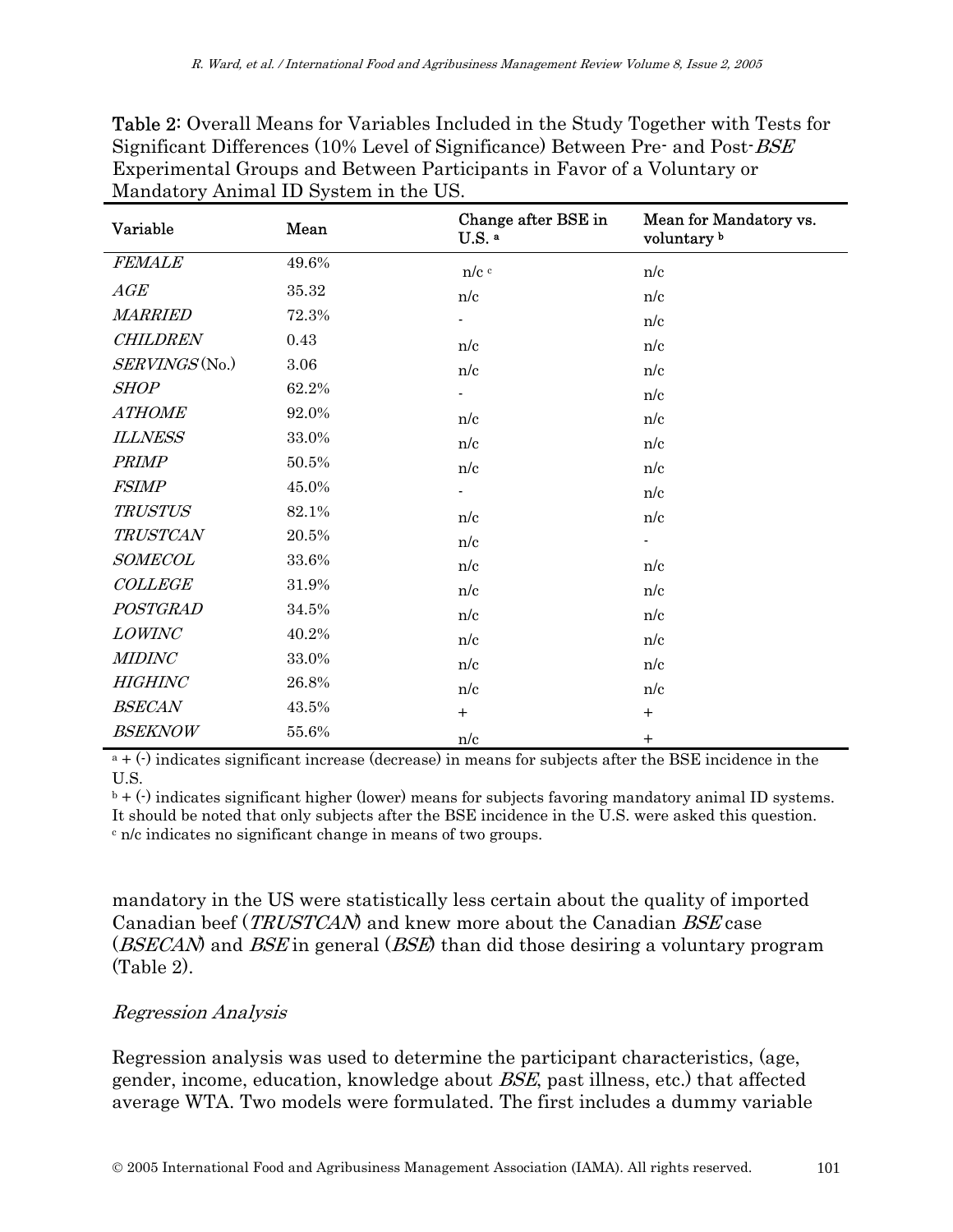| Variable        | Mean  | Change after BSE in<br>U.S. a | Mean for Mandatory vs.<br>voluntary <sup>b</sup> |
|-----------------|-------|-------------------------------|--------------------------------------------------|
| <b>FEMALE</b>   | 49.6% | $n/c$ <sup>c</sup>            | n/c                                              |
| AGE             | 35.32 | n/c                           | n/c                                              |
| <b>MARRIED</b>  | 72.3% |                               | n/c                                              |
| <b>CHILDREN</b> | 0.43  | n/c                           | n/c                                              |
| SERVINGS (No.)  | 3.06  | n/c                           | n/c                                              |
| <b>SHOP</b>     | 62.2% |                               | n/c                                              |
| <b>ATHOME</b>   | 92.0% | n/c                           | n/c                                              |
| <b>ILLNESS</b>  | 33.0% | n/c                           | n/c                                              |
| <b>PRIMP</b>    | 50.5% | n/c                           | n/c                                              |
| <b>FSIMP</b>    | 45.0% |                               | n/c                                              |
| <b>TRUSTUS</b>  | 82.1% | n/c                           | n/c                                              |
| <b>TRUSTCAN</b> | 20.5% | n/c                           |                                                  |
| <b>SOMECOL</b>  | 33.6% | n/c                           | n/c                                              |
| COLLEGE         | 31.9% | n/c                           | n/c                                              |
| POSTGRAD        | 34.5% | n/c                           | n/c                                              |
| LOWINC          | 40.2% | n/c                           | n/c                                              |
| <b>MIDINC</b>   | 33.0% | n/c                           | n/c                                              |
| <b>HIGHINC</b>  | 26.8% | n/c                           | n/c                                              |
| <b>BSECAN</b>   | 43.5% | $+$                           | $+$                                              |
| <b>BSEKNOW</b>  | 55.6% | n/c                           | $+$                                              |

Table 2: Overall Means for Variables Included in the Study Together with Tests for Significant Differences (10% Level of Significance) Between Pre- and Post-BSE Experimental Groups and Between Participants in Favor of a Voluntary or Mandatory Animal ID System in the US.

 $a + (-)$  indicates significant increase (decrease) in means for subjects after the BSE incidence in the U.S.

 $\mathfrak{b}$  + (-) indicates significant higher (lower) means for subjects favoring mandatory animal ID systems. It should be noted that only subjects after the BSE incidence in the U.S. were asked this question. c n/c indicates no significant change in means of two groups.

mandatory in the US were statistically less certain about the quality of imported Canadian beef (*TRUSTCAN*) and knew more about the Canadian *BSE* case (*BSECAN*) and *BSE* in general (*BSE*) than did those desiring a voluntary program (Table 2).

#### Regression Analysis

Regression analysis was used to determine the participant characteristics, (age, gender, income, education, knowledge about BSE, past illness, etc.) that affected average WTA. Two models were formulated. The first includes a dummy variable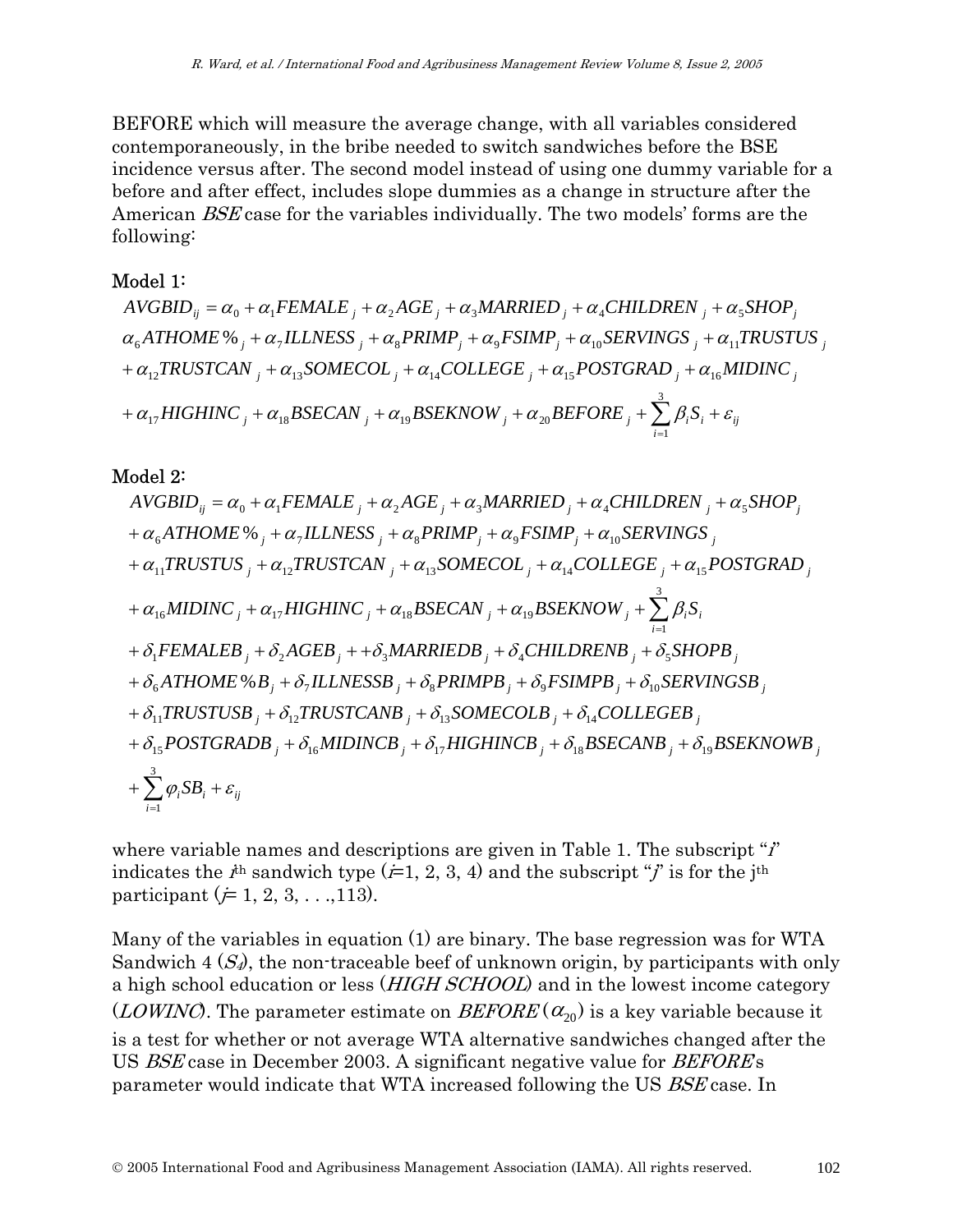BEFORE which will measure the average change, with all variables considered contemporaneously, in the bribe needed to switch sandwiches before the BSE incidence versus after. The second model instead of using one dummy variable for a before and after effect, includes slope dummies as a change in structure after the American BSE case for the variables individually. The two models' forms are the following:

#### Model 1:

*ij i*  $\frac{1}{2} + \alpha_{17} HIGHINC_j + \alpha_{18} BSECAN_j + \alpha_{19} BSEKNOW_j + \alpha_{20} BEFORE_j + \sum_{i=1}^3 \beta_i S_i + \varepsilon_{20}$  $j + \alpha_{12}TRUSTCAN\frac{1}{2} + \alpha_{13}SOMECOL\frac{1}{2} + \alpha_{14}COLLEGE\frac{1}{2} + \alpha_{15}POSTGRAD\frac{1}{2} + \alpha_{16}MIDINC\frac{1}{2}$  $\alpha_6 ATHOME \otimes_1 + \alpha_7 ILINESS$ <sub>*j*</sub> +  $\alpha_8 PRIMP_j + \alpha_9 FSIMP_j + \alpha_{10} SERVINGS$ <sub>*j*</sub> +  $\alpha_{11} TRUSTUS$ <sub>*j*</sub>  $AVGBID_{ij} = \alpha_0 + \alpha_1 FEMALE_{j} + \alpha_2 AGE_{j} + \alpha_3 MARRIED_{j} + \alpha_4 CHILDREN_{j} + \alpha_5 SHOP_{j}$ 1  $\frac{1}{17}$ *11* OHNC  $\frac{1}{j}$  +  $\alpha_{18}$ *D*<sub>D</sub> CAN  $\frac{1}{j}$  +  $\alpha_{19}$ *D*<sub>D</sub> C<sub>N</sub>NO W<sub>j</sub> +  $\alpha_{20}$ 

#### Model 2:

AVGBID<sub>ij</sub> = 
$$
\alpha_0 + \alpha_1 FEMALE_j + \alpha_2 AGE_j + \alpha_3 MARRIED_j + \alpha_4 CHILDREN_j + \alpha_5 SHOP_j
$$
  
+  $\alpha_6 ATHOME\%_j + \alpha_7 ILLNESS_j + \alpha_8 PRIMP_j + \alpha_9 FSIMP_j + \alpha_{10} SERVINGS_j$   
+  $\alpha_{11} TRUSTUS_j + \alpha_{12} TRUSTCAN_j + \alpha_{13} SOMECOL_j + \alpha_{14} COLLEGE_j + \alpha_{15} POSTGRAD_j$   
+  $\alpha_{16} MIDINC_j + \alpha_{17} HIGHINC_j + \alpha_{18} BSECAN_j + \alpha_{19} BSEKNOW_j + \sum_{i=1}^3 \beta_i S_i$   
+  $\delta_1 FEMALEB_j + \delta_2 AGEB_j + \delta_3 MARRIEDB_j + \delta_4 CHILDRENB_j + \delta_5 SHOPB_j$   
+  $\delta_6 ATHOME\%B_j + \delta_7 ILLNESSB_j + \delta_8 PRIMPB_j + \delta_9 FSIMPB_j + \delta_{10} SERVINGSB_j$   
+  $\delta_{11} TRUSTUSB_j + \delta_{12} TRUSTCANB_j + \delta_{13} SOMECOLB_j + \delta_{14} COLLEGEB_j$   
+  $\delta_{15} POSTGRADB_j + \delta_{16} MIDINCB_j + \delta_{17} HIGHINCB_j + \delta_{18} BSECANDB_j + \delta_{19} BSEKNOWB_j$   
+  $\sum_{i=1}^3 \varphi_i SB_i + \varepsilon_{ij}$ 

where variable names and descriptions are given in Table 1. The subscript " $i$ " indicates the  $i^{\text{th}}$  sandwich type ( $\neq$ 1, 2, 3, 4) and the subscript "j" is for the j<sup>th</sup> participant ( $\neq$  1, 2, 3, . . .,113).

Many of the variables in equation (1) are binary. The base regression was for WTA Sandwich 4  $(S_4)$ , the non-traceable beef of unknown origin, by participants with only a high school education or less (*HIGH SCHOOL*) and in the lowest income category (LOWINC). The parameter estimate on  $BEFORE(\alpha_{20})$  is a key variable because it is a test for whether or not average WTA alternative sandwiches changed after the US BSE case in December 2003. A significant negative value for BEFORE's parameter would indicate that WTA increased following the US BSE case. In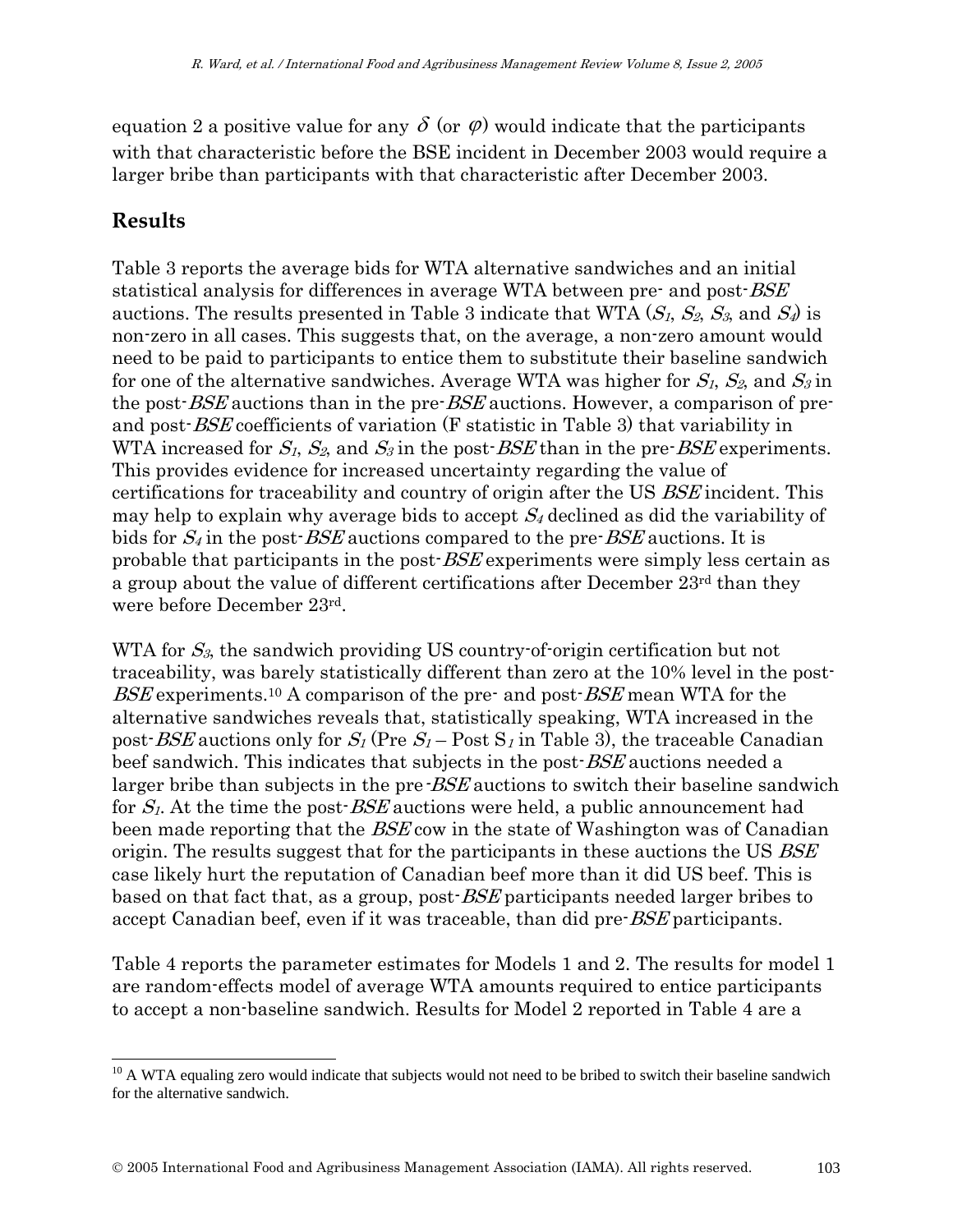equation 2 a positive value for any  $\delta$  (or  $\varphi$ ) would indicate that the participants with that characteristic before the BSE incident in December 2003 would require a larger bribe than participants with that characteristic after December 2003.

### **Results**

l

Table 3 reports the average bids for WTA alternative sandwiches and an initial statistical analysis for differences in average WTA between pre- and post-BSE auctions. The results presented in Table 3 indicate that WTA  $(S_1, S_2, S_3, S_4)$  is non-zero in all cases. This suggests that, on the average, a non-zero amount would need to be paid to participants to entice them to substitute their baseline sandwich for one of the alternative sandwiches. Average WTA was higher for  $S_1$ ,  $S_2$ , and  $S_3$  in the post-*BSE* auctions than in the pre-*BSE* auctions. However, a comparison of preand post-BSE coefficients of variation (F statistic in Table 3) that variability in WTA increased for  $S_1$ ,  $S_2$ , and  $S_3$  in the post-*BSE* than in the pre-*BSE* experiments. This provides evidence for increased uncertainty regarding the value of certifications for traceability and country of origin after the US BSE incident. This may help to explain why average bids to accept  $S_4$  declined as did the variability of bids for  $S_4$  in the post-*BSE* auctions compared to the pre-*BSE* auctions. It is probable that participants in the post-BSE experiments were simply less certain as a group about the value of different certifications after December  $23<sup>rd</sup>$  than they were before December 23rd.

WTA for  $S_3$ , the sandwich providing US country-of-origin certification but not traceability, was barely statistically different than zero at the 10% level in the post-BSE experiments.<sup>10</sup> A comparison of the pre- and post-BSE mean WTA for the alternative sandwiches reveals that, statistically speaking, WTA increased in the post-*BSE* auctions only for  $S_1$  (Pre  $S_1$  – Post  $S_1$  in Table 3), the traceable Canadian beef sandwich. This indicates that subjects in the post-*BSE* auctions needed a larger bribe than subjects in the pre-*BSE* auctions to switch their baseline sandwich for  $S_l$ . At the time the post- $BSE$  auctions were held, a public announcement had been made reporting that the BSE cow in the state of Washington was of Canadian origin. The results suggest that for the participants in these auctions the US BSE case likely hurt the reputation of Canadian beef more than it did US beef. This is based on that fact that, as a group, post-BSE participants needed larger bribes to accept Canadian beef, even if it was traceable, than did pre-BSE participants.

Table 4 reports the parameter estimates for Models 1 and 2. The results for model 1 are random-effects model of average WTA amounts required to entice participants to accept a non-baseline sandwich. Results for Model 2 reported in Table 4 are a

 $10$  A WTA equaling zero would indicate that subjects would not need to be bribed to switch their baseline sandwich for the alternative sandwich.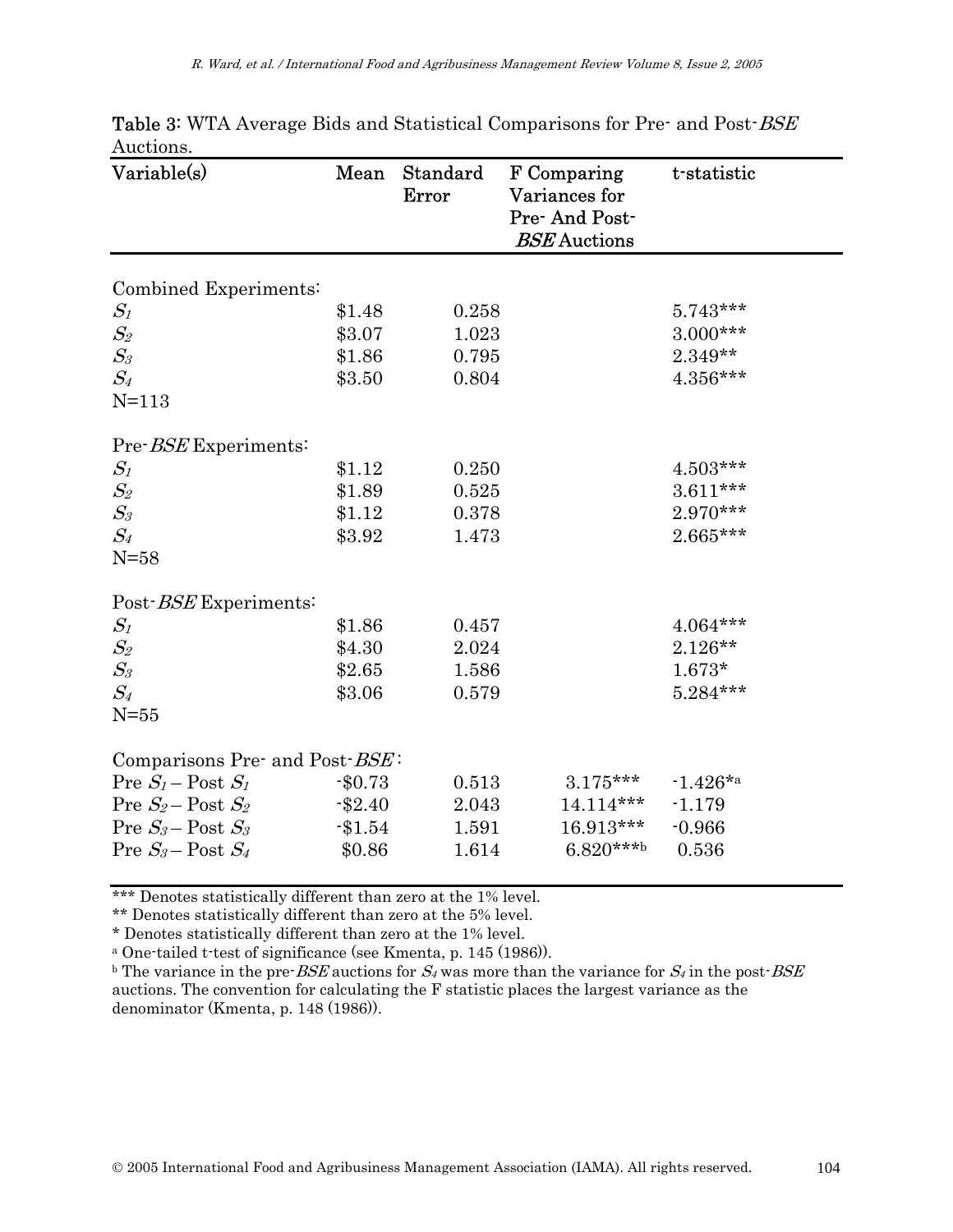| Variable(s)                             | Mean      | Standard<br>Error | F Comparing<br>Variances for<br>Pre-And Post-<br><b>BSE</b> Auctions | t-statistic |
|-----------------------------------------|-----------|-------------------|----------------------------------------------------------------------|-------------|
| Combined Experiments:                   |           |                   |                                                                      |             |
| $S_{\it 1}$                             | \$1.48    | 0.258             |                                                                      | $5.743***$  |
| $S_2$                                   | \$3.07    | 1.023             |                                                                      | $3.000***$  |
| $S_3$                                   | \$1.86    | 0.795             |                                                                      | $2.349**$   |
| $S_4$                                   | \$3.50    | 0.804             |                                                                      | $4.356***$  |
| $N=113$                                 |           |                   |                                                                      |             |
| Pre-BSE Experiments:                    |           |                   |                                                                      |             |
| $S_{\it 1}$                             | \$1.12    | 0.250             |                                                                      | $4.503***$  |
| $\mathcal{S}_2$                         | \$1.89    | 0.525             |                                                                      | $3.611***$  |
| $S_3$                                   | \$1.12    | 0.378             |                                                                      | 2.970***    |
| $S_4$                                   | \$3.92    | 1.473             |                                                                      | 2.665***    |
| $N=58$                                  |           |                   |                                                                      |             |
| Post-BSE Experiments:                   |           |                   |                                                                      |             |
| $S_{\it 1}$                             | \$1.86    | 0.457             |                                                                      | $4.064***$  |
| $S_2$                                   | \$4.30    | 2.024             |                                                                      | $2.126**$   |
| $S_3$                                   | \$2.65    | 1.586             |                                                                      | $1.673*$    |
| $S_4$                                   | \$3.06    | 0.579             |                                                                      | $5.284***$  |
| $N = 55$                                |           |                   |                                                                      |             |
| Comparisons Pre- and Post- <i>BSE</i> : |           |                   |                                                                      |             |
| Pre $S_1$ – Post $S_1$                  | $-$0.73$  | 0.513             | $3.175***$                                                           | $-1.426*$ a |
| Pre $S_2$ – Post $S_2$                  | $-\$2.40$ | 2.043             | $14.114***$                                                          | $-1.179$    |
| Pre $S_3$ – Post $S_3$                  | $-1.54$   | 1.591             | 16.913***                                                            | $-0.966$    |
| Pre $S_3$ – Post $S_4$                  | \$0.86    | 1.614             | $6.820***$                                                           | 0.536       |

Table 3: WTA Average Bids and Statistical Comparisons for Pre- and Post-BSE Auctions.

\*\*\* Denotes statistically different than zero at the 1% level.

\*\* Denotes statistically different than zero at the 5% level.

\* Denotes statistically different than zero at the 1% level.

a One-tailed t-test of significance (see Kmenta, p. 145 (1986)).

<sup>b</sup> The variance in the pre-*BSE* auctions for  $S_4$  was more than the variance for  $S_4$  in the post-*BSE* auctions. The convention for calculating the F statistic places the largest variance as the denominator (Kmenta, p. 148 (1986)).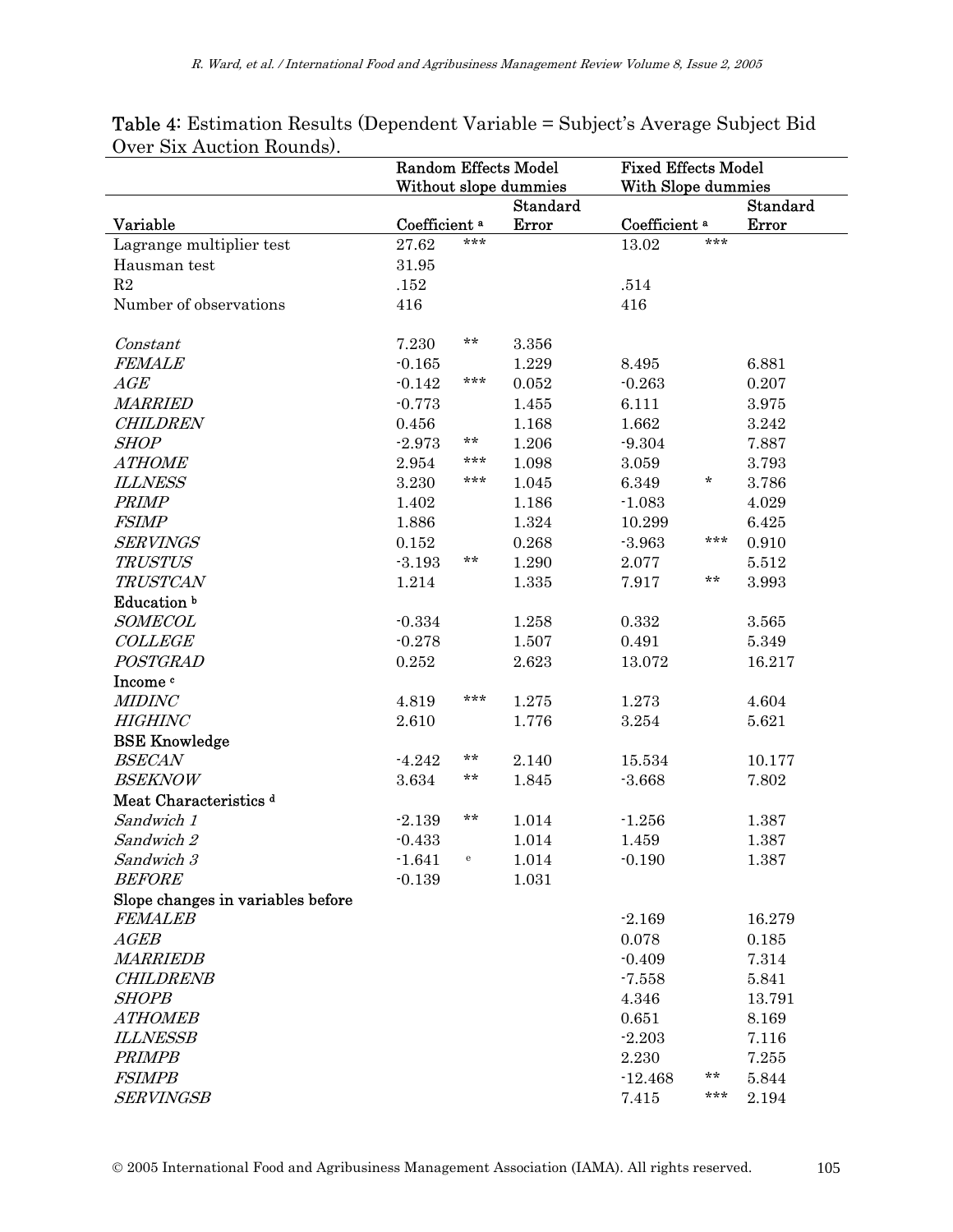|                                   | <b>Random Effects Model</b><br>Without slope dummies |                                       | <b>Fixed Effects Model</b><br>With Slope dummies |                          |     |                 |
|-----------------------------------|------------------------------------------------------|---------------------------------------|--------------------------------------------------|--------------------------|-----|-----------------|
|                                   |                                                      |                                       | <b>Standard</b>                                  |                          |     | <b>Standard</b> |
| Variable                          | Coefficient <sup>a</sup>                             |                                       | Error                                            | Coefficient <sup>a</sup> |     | Error           |
| Lagrange multiplier test          | 27.62                                                | ***                                   |                                                  | 13.02                    | *** |                 |
| Hausman test                      | 31.95                                                |                                       |                                                  |                          |     |                 |
| $\mathbf{R}2$                     | .152                                                 |                                       |                                                  | .514                     |     |                 |
| Number of observations            | 416                                                  |                                       |                                                  | 416                      |     |                 |
| Constant                          | 7.230                                                | **                                    | 3.356                                            |                          |     |                 |
| <b>FEMALE</b>                     | $-0.165$                                             |                                       | 1.229                                            | 8.495                    |     | 6.881           |
| $\mathbb{A}\mathbb{G}\mathbb{E}$  | $-0.142$                                             | ***                                   | 0.052                                            | $-0.263$                 |     | 0.207           |
| <b>MARRIED</b>                    | $-0.773$                                             |                                       | 1.455                                            | 6.111                    |     | 3.975           |
| <b>CHILDREN</b>                   | 0.456                                                |                                       | 1.168                                            | 1.662                    |     | 3.242           |
| <b>SHOP</b>                       | $-2.973$                                             | **                                    | 1.206                                            | $-9.304$                 |     | 7.887           |
| <b>ATHOME</b>                     | 2.954                                                | ***                                   | 1.098                                            | 3.059                    |     | 3.793           |
| <b>ILLNESS</b>                    | 3.230                                                | ***                                   | 1.045                                            | 6.349                    | *   | 3.786           |
| <b>PRIMP</b>                      | 1.402                                                |                                       | 1.186                                            | $-1.083$                 |     | 4.029           |
| <b>FSIMP</b>                      | 1.886                                                |                                       | 1.324                                            | 10.299                   |     | 6.425           |
| <b>SERVINGS</b>                   | 0.152                                                |                                       | 0.268                                            | $-3.963$                 | *** | 0.910           |
| <b>TRUSTUS</b>                    | $-3.193$                                             | **                                    | 1.290                                            | 2.077                    |     | 5.512           |
| <b>TRUSTCAN</b>                   | 1.214                                                |                                       | 1.335                                            | 7.917                    | **  | 3.993           |
| Education <sup>b</sup>            |                                                      |                                       |                                                  |                          |     |                 |
| <b>SOMECOL</b>                    | $-0.334$                                             |                                       | 1.258                                            | 0.332                    |     | 3.565           |
| <b>COLLEGE</b>                    | $-0.278$                                             |                                       | 1.507                                            | 0.491                    |     | 5.349           |
| POSTGRAD                          | 0.252                                                |                                       | 2.623                                            | 13.072                   |     | 16.217          |
| Income c                          |                                                      |                                       |                                                  |                          |     |                 |
| <b>MIDINC</b>                     | 4.819                                                | ***                                   | 1.275                                            | 1.273                    |     | 4.604           |
| <b>HIGHINC</b>                    | 2.610                                                |                                       | 1.776                                            | 3.254                    |     | 5.621           |
| <b>BSE Knowledge</b>              |                                                      |                                       |                                                  |                          |     |                 |
| <b>BSECAN</b>                     | $-4.242$                                             | $***$                                 | 2.140                                            | 15.534                   |     | 10.177          |
| <b>BSEKNOW</b>                    | 3.634                                                | **                                    | 1.845                                            | $-3.668$                 |     | 7.802           |
| Meat Characteristics <sup>d</sup> |                                                      |                                       |                                                  |                          |     |                 |
| Sandwich 1                        | $-2.139$                                             | $***$                                 | 1.014                                            | $-1.256$                 |     | 1.387           |
| Sandwich 2                        | $-0.433$                                             |                                       | 1.014                                            | 1.459                    |     | 1.387           |
| Sandwich 3                        | $-1.641$                                             | $\mathbf{e}% _{t}\left( t_{1}\right)$ | 1.014                                            | $-0.190$                 |     | 1.387           |
| <b>BEFORE</b>                     | $-0.139$                                             |                                       | 1.031                                            |                          |     |                 |
| Slope changes in variables before |                                                      |                                       |                                                  |                          |     |                 |
| <i>FEMALEB</i>                    |                                                      |                                       |                                                  | $-2.169$                 |     | 16.279          |
| AGEB                              |                                                      |                                       |                                                  | 0.078                    |     | 0.185           |
| <b>MARRIEDB</b>                   |                                                      |                                       |                                                  | $-0.409$                 |     | 7.314           |
| <b>CHILDRENB</b>                  |                                                      |                                       |                                                  | $-7.558$                 |     | 5.841           |
| <b>SHOPB</b>                      |                                                      |                                       |                                                  | 4.346                    |     | 13.791          |
| <b>ATHOMEB</b>                    |                                                      |                                       |                                                  | 0.651                    |     | 8.169           |
| <b>ILLNESSB</b>                   |                                                      |                                       |                                                  | $-2.203$                 |     | 7.116           |
| <b>PRIMPB</b>                     |                                                      |                                       |                                                  | 2.230                    |     | 7.255           |
| <b>FSIMPB</b>                     |                                                      |                                       |                                                  | $-12.468$                | **  | 5.844           |
| <b>SERVINGSB</b>                  |                                                      |                                       |                                                  | 7.415                    | *** | 2.194           |

#### Table 4: Estimation Results (Dependent Variable = Subject's Average Subject Bid Over Six Auction Rounds).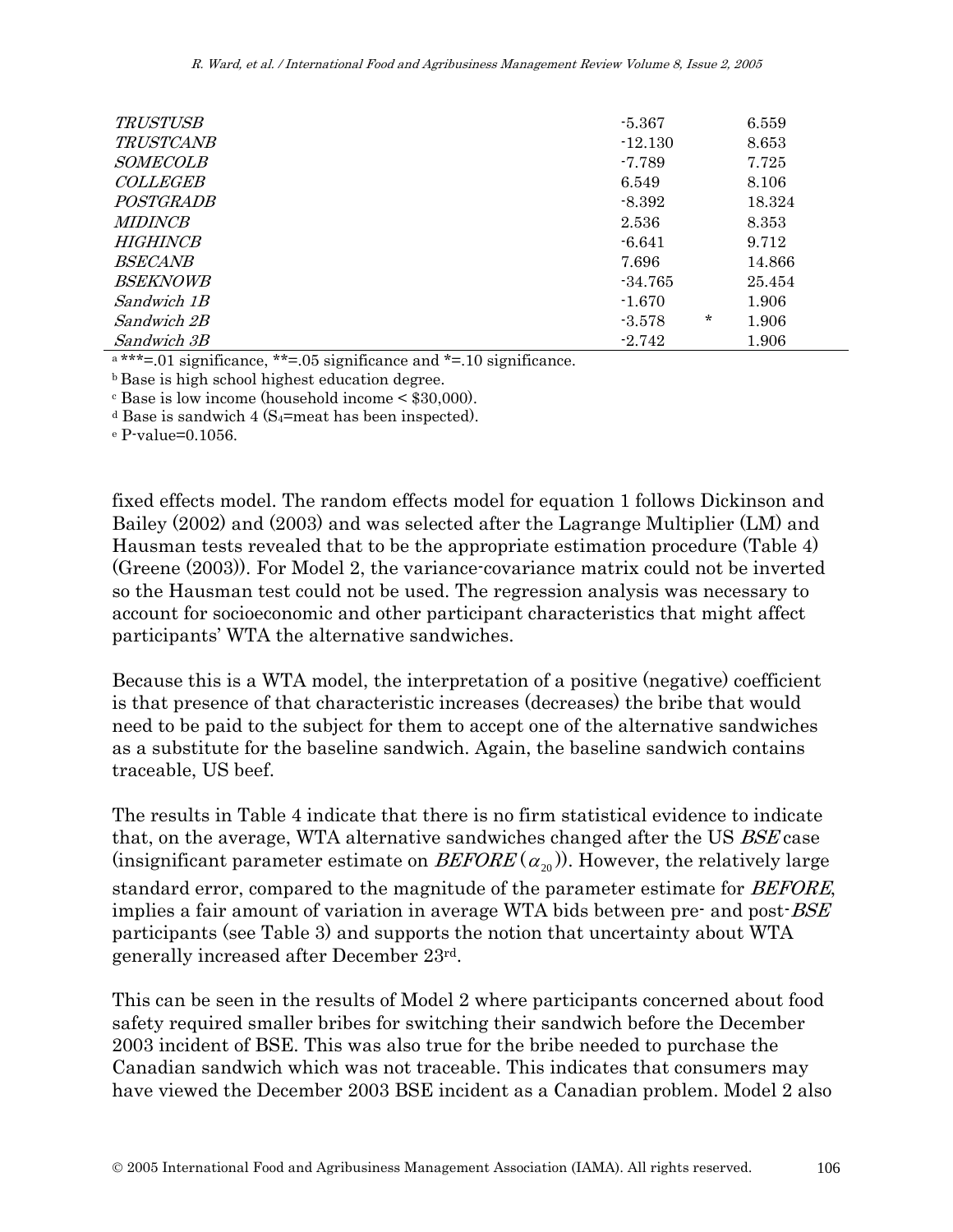| <b>TRUSTUSB</b>  | $-5.367$           | 6.559  |
|------------------|--------------------|--------|
| <i>TRUSTCANB</i> | $-12.130$          | 8.653  |
| <i>SOMECOLB</i>  | $-7.789$           | 7.725  |
| <b>COLLEGEB</b>  | 6.549              | 8.106  |
| POSTGRADB        | $-8.392$           | 18.324 |
| <i>MIDINCB</i>   | 2.536              | 8.353  |
| HIGHINCR         | $-6.641$           | 9.712  |
| <i>BSECANB</i>   | 7.696              | 14.866 |
| <i>BSEKNOWB</i>  | $-34.765$          | 25.454 |
| Sandwich 1B      | $-1.670$           | 1.906  |
| Sandwich 2B      | $\ast$<br>$-3.578$ | 1.906  |
| Sandwich 3B      | $-2.742$           | 1.906  |

 $a***=01$  significance, \*\*=.05 significance and \*=.10 significance.

b Base is high school highest education degree.

c Base is low income (household income < \$30,000).

<sup>d</sup> Base is sandwich 4 (S<sub>4</sub>=meat has been inspected).<br>
<sup>e</sup> P-value=0.1056.

fixed effects model. The random effects model for equation 1 follows Dickinson and Bailey (2002) and (2003) and was selected after the Lagrange Multiplier (LM) and Hausman tests revealed that to be the appropriate estimation procedure (Table 4) (Greene (2003)). For Model 2, the variance-covariance matrix could not be inverted so the Hausman test could not be used. The regression analysis was necessary to account for socioeconomic and other participant characteristics that might affect participants' WTA the alternative sandwiches.

Because this is a WTA model, the interpretation of a positive (negative) coefficient is that presence of that characteristic increases (decreases) the bribe that would need to be paid to the subject for them to accept one of the alternative sandwiches as a substitute for the baseline sandwich. Again, the baseline sandwich contains traceable, US beef.

The results in Table 4 indicate that there is no firm statistical evidence to indicate that, on the average, WTA alternative sandwiches changed after the US BSE case (insignificant parameter estimate on  $BEFORE(\alpha_{20})$ ). However, the relatively large standard error, compared to the magnitude of the parameter estimate for *BEFORE*, implies a fair amount of variation in average WTA bids between pre- and post-*BSE* participants (see Table 3) and supports the notion that uncertainty about WTA generally increased after December 23rd.

This can be seen in the results of Model 2 where participants concerned about food safety required smaller bribes for switching their sandwich before the December 2003 incident of BSE. This was also true for the bribe needed to purchase the Canadian sandwich which was not traceable. This indicates that consumers may have viewed the December 2003 BSE incident as a Canadian problem. Model 2 also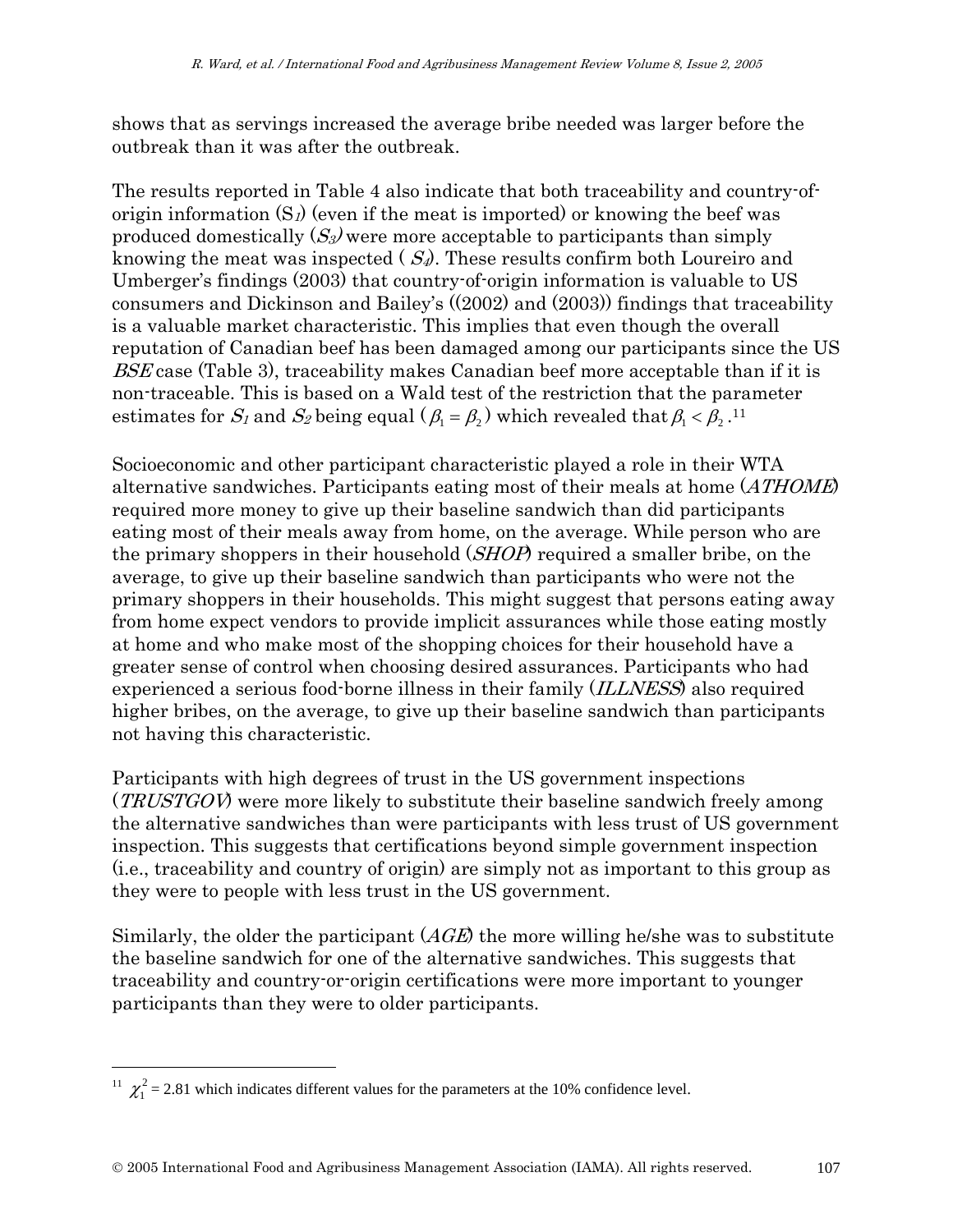shows that as servings increased the average bribe needed was larger before the outbreak than it was after the outbreak.

The results reported in Table 4 also indicate that both traceability and country-oforigin information  $(S_l)$  (even if the meat is imported) or knowing the beef was produced domestically  $(S_3)$  were more acceptable to participants than simply knowing the meat was inspected  $(S_4)$ . These results confirm both Loureiro and Umberger's findings (2003) that country-of-origin information is valuable to US consumers and Dickinson and Bailey's ((2002) and (2003)) findings that traceability is a valuable market characteristic. This implies that even though the overall reputation of Canadian beef has been damaged among our participants since the US BSE case (Table 3), traceability makes Canadian beef more acceptable than if it is non-traceable. This is based on a Wald test of the restriction that the parameter estimates for  $S_1$  and  $S_2$  being equal ( $\beta_1 = \beta_2$ ) which revealed that  $\beta_1 < \beta_2$ .<sup>11</sup>

Socioeconomic and other participant characteristic played a role in their WTA alternative sandwiches. Participants eating most of their meals at home (ATHOME) required more money to give up their baseline sandwich than did participants eating most of their meals away from home, on the average. While person who are the primary shoppers in their household (*SHOP*) required a smaller bribe, on the average, to give up their baseline sandwich than participants who were not the primary shoppers in their households. This might suggest that persons eating away from home expect vendors to provide implicit assurances while those eating mostly at home and who make most of the shopping choices for their household have a greater sense of control when choosing desired assurances. Participants who had experienced a serious food-borne illness in their family *(ILLNESS)* also required higher bribes, on the average, to give up their baseline sandwich than participants not having this characteristic.

Participants with high degrees of trust in the US government inspections (*TRUSTGOV*) were more likely to substitute their baseline sandwich freely among the alternative sandwiches than were participants with less trust of US government inspection. This suggests that certifications beyond simple government inspection (i.e., traceability and country of origin) are simply not as important to this group as they were to people with less trust in the US government.

Similarly, the older the participant  $(AGE)$  the more willing he/she was to substitute the baseline sandwich for one of the alternative sandwiches. This suggests that traceability and country-or-origin certifications were more important to younger participants than they were to older participants.

<sup>&</sup>lt;sup>11</sup>  $\chi_1^2$  = 2.81 which indicates different values for the parameters at the 10% confidence level.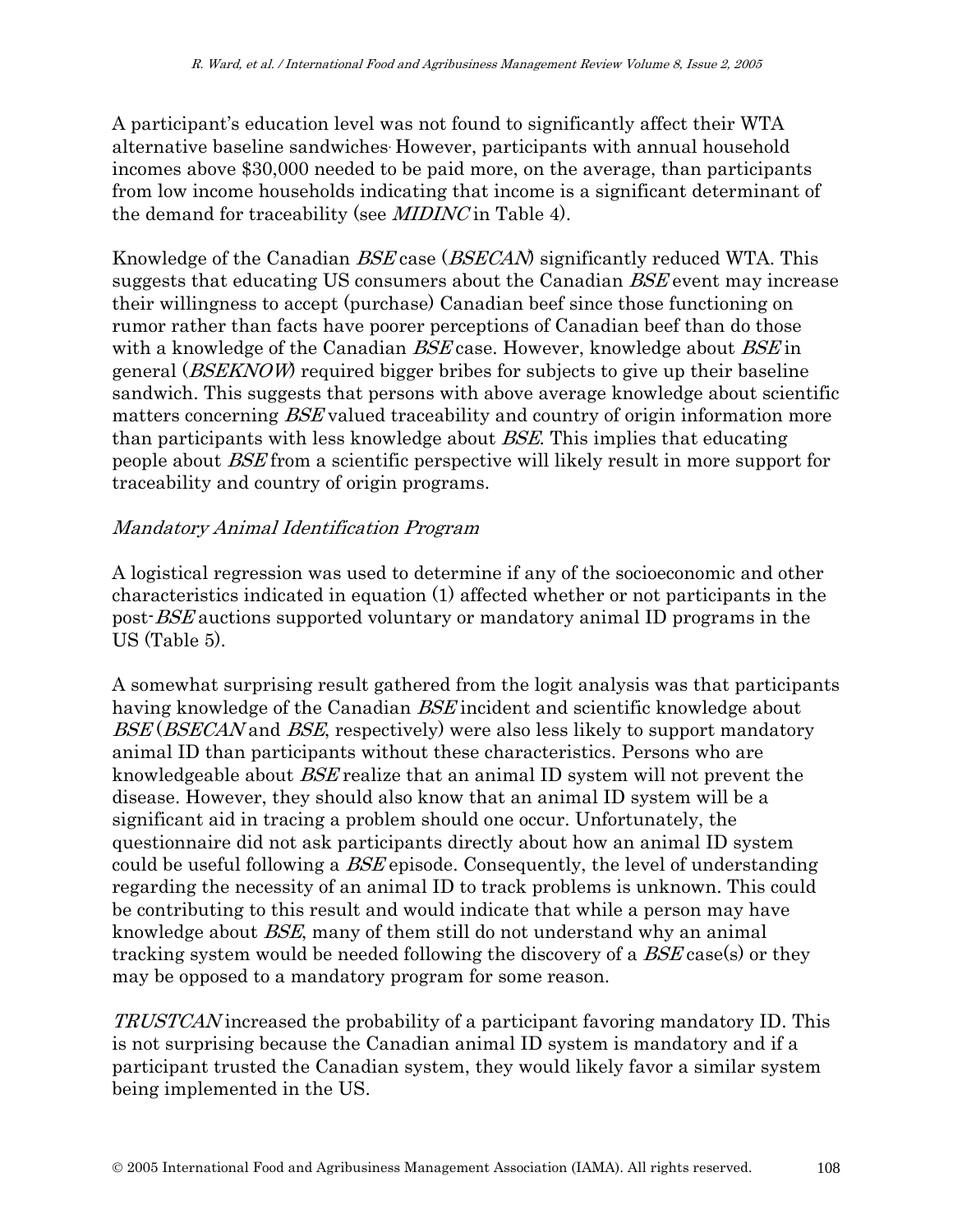A participant's education level was not found to significantly affect their WTA alternative baseline sandwiches. However, participants with annual household incomes above \$30,000 needed to be paid more, on the average, than participants from low income households indicating that income is a significant determinant of the demand for traceability (see MIDINC in Table 4).

Knowledge of the Canadian *BSE* case (*BSECAN*) significantly reduced WTA. This suggests that educating US consumers about the Canadian BSE event may increase their willingness to accept (purchase) Canadian beef since those functioning on rumor rather than facts have poorer perceptions of Canadian beef than do those with a knowledge of the Canadian BSE case. However, knowledge about BSE in general (BSEKNOW) required bigger bribes for subjects to give up their baseline sandwich. This suggests that persons with above average knowledge about scientific matters concerning *BSE* valued traceability and country of origin information more than participants with less knowledge about BSE. This implies that educating people about BSE from a scientific perspective will likely result in more support for traceability and country of origin programs.

#### Mandatory Animal Identification Program

A logistical regression was used to determine if any of the socioeconomic and other characteristics indicated in equation (1) affected whether or not participants in the post-BSE auctions supported voluntary or mandatory animal ID programs in the US (Table 5).

A somewhat surprising result gathered from the logit analysis was that participants having knowledge of the Canadian *BSE* incident and scientific knowledge about BSE (BSECAN and BSE, respectively) were also less likely to support mandatory animal ID than participants without these characteristics. Persons who are knowledgeable about BSE realize that an animal ID system will not prevent the disease. However, they should also know that an animal ID system will be a significant aid in tracing a problem should one occur. Unfortunately, the questionnaire did not ask participants directly about how an animal ID system could be useful following a BSE episode. Consequently, the level of understanding regarding the necessity of an animal ID to track problems is unknown. This could be contributing to this result and would indicate that while a person may have knowledge about BSE, many of them still do not understand why an animal tracking system would be needed following the discovery of a BSE case(s) or they may be opposed to a mandatory program for some reason.

TRUSTCAN increased the probability of a participant favoring mandatory ID. This is not surprising because the Canadian animal ID system is mandatory and if a participant trusted the Canadian system, they would likely favor a similar system being implemented in the US.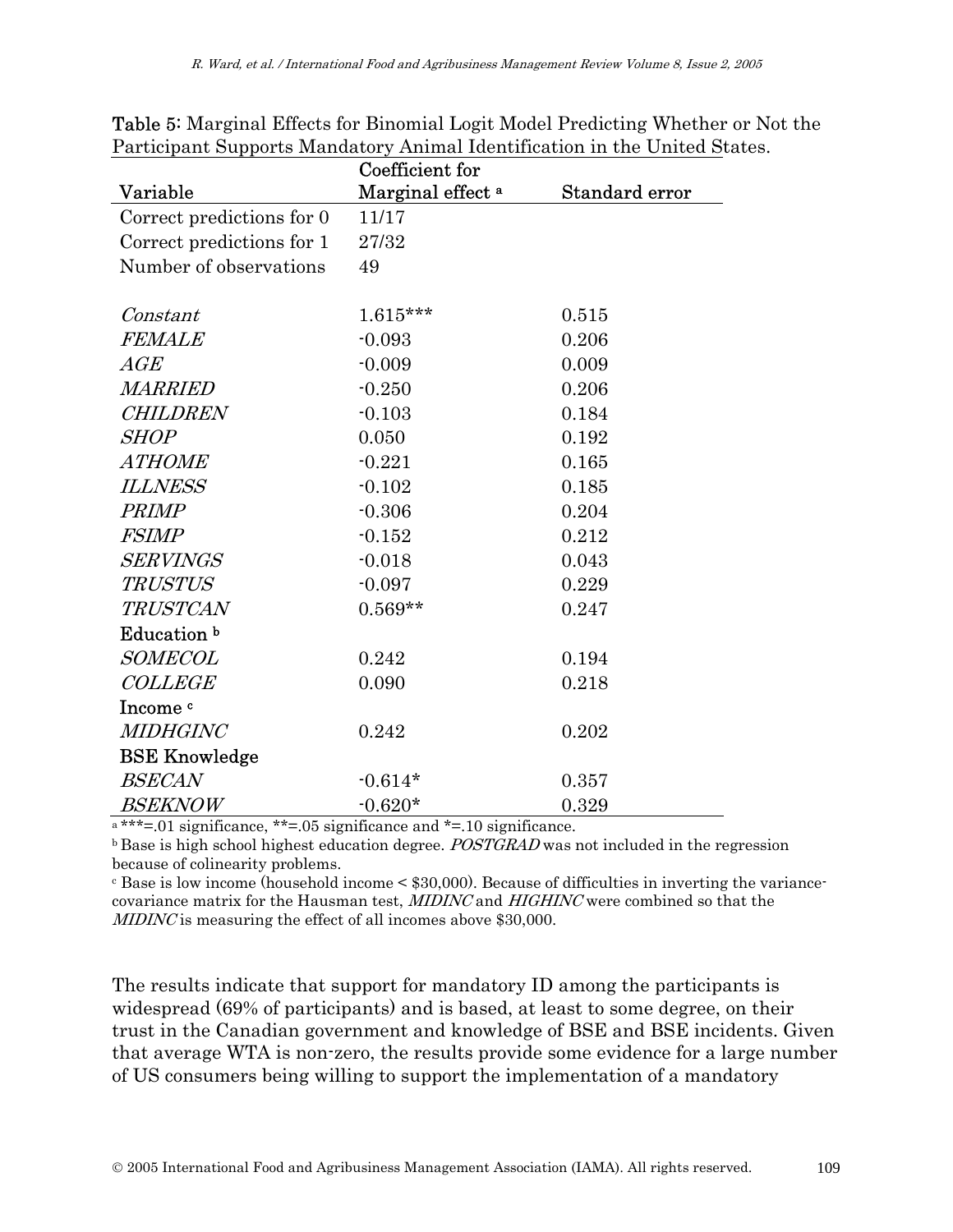|                           | Coefficient for              |                |
|---------------------------|------------------------------|----------------|
| Variable                  | Marginal effect <sup>a</sup> | Standard error |
| Correct predictions for 0 | 11/17                        |                |
| Correct predictions for 1 | 27/32                        |                |
| Number of observations    | 49                           |                |
| Constant                  | $1.615***$                   | 0.515          |
| <b>FEMALE</b>             | $-0.093$                     | 0.206          |
| $\mathbb{A} G E$          | $-0.009$                     | 0.009          |
| <b>MARRIED</b>            | $-0.250$                     | 0.206          |
| CHILDREN                  | $-0.103$                     | 0.184          |
| <i>SHOP</i>               | 0.050                        | 0.192          |
| <b>ATHOME</b>             | $-0.221$                     | 0.165          |
| <b>ILLNESS</b>            | $-0.102$                     | 0.185          |
| PRIMP                     | $-0.306$                     | 0.204          |
| <i>FSIMP</i>              | $-0.152$                     | 0.212          |
| <b>SERVINGS</b>           | $-0.018$                     | 0.043          |
| <b>TRUSTUS</b>            | $-0.097$                     | 0.229          |
| <b>TRUSTCAN</b>           | $0.569**$                    | 0.247          |
| Education b               |                              |                |
| <b>SOMECOL</b>            | 0.242                        | 0.194          |
| <b>COLLEGE</b>            | 0.090                        | 0.218          |
| Income c                  |                              |                |
| <b>MIDHGINC</b>           | 0.242                        | 0.202          |
| <b>BSE Knowledge</b>      |                              |                |
| <b>BSECAN</b>             | $-0.614*$                    | 0.357          |
| <i>BSEKNOW</i>            | $-0.620*$                    | 0.329          |

Table 5: Marginal Effects for Binomial Logit Model Predicting Whether or Not the Participant Supports Mandatory Animal Identification in the United States.

 $A*** = .01$  significance, \*\*=.05 significance and \*=.10 significance.

 $\bar{b}$  Base is high school highest education degree. *POSTGRAD* was not included in the regression because of colinearity problems.

 $\epsilon$  Base is low income (household income  $\epsilon$  \$30,000). Because of difficulties in inverting the variancecovariance matrix for the Hausman test, MIDINC and HIGHINC were combined so that the MIDINC is measuring the effect of all incomes above \$30,000.

The results indicate that support for mandatory ID among the participants is widespread (69% of participants) and is based, at least to some degree, on their trust in the Canadian government and knowledge of BSE and BSE incidents. Given that average WTA is non-zero, the results provide some evidence for a large number of US consumers being willing to support the implementation of a mandatory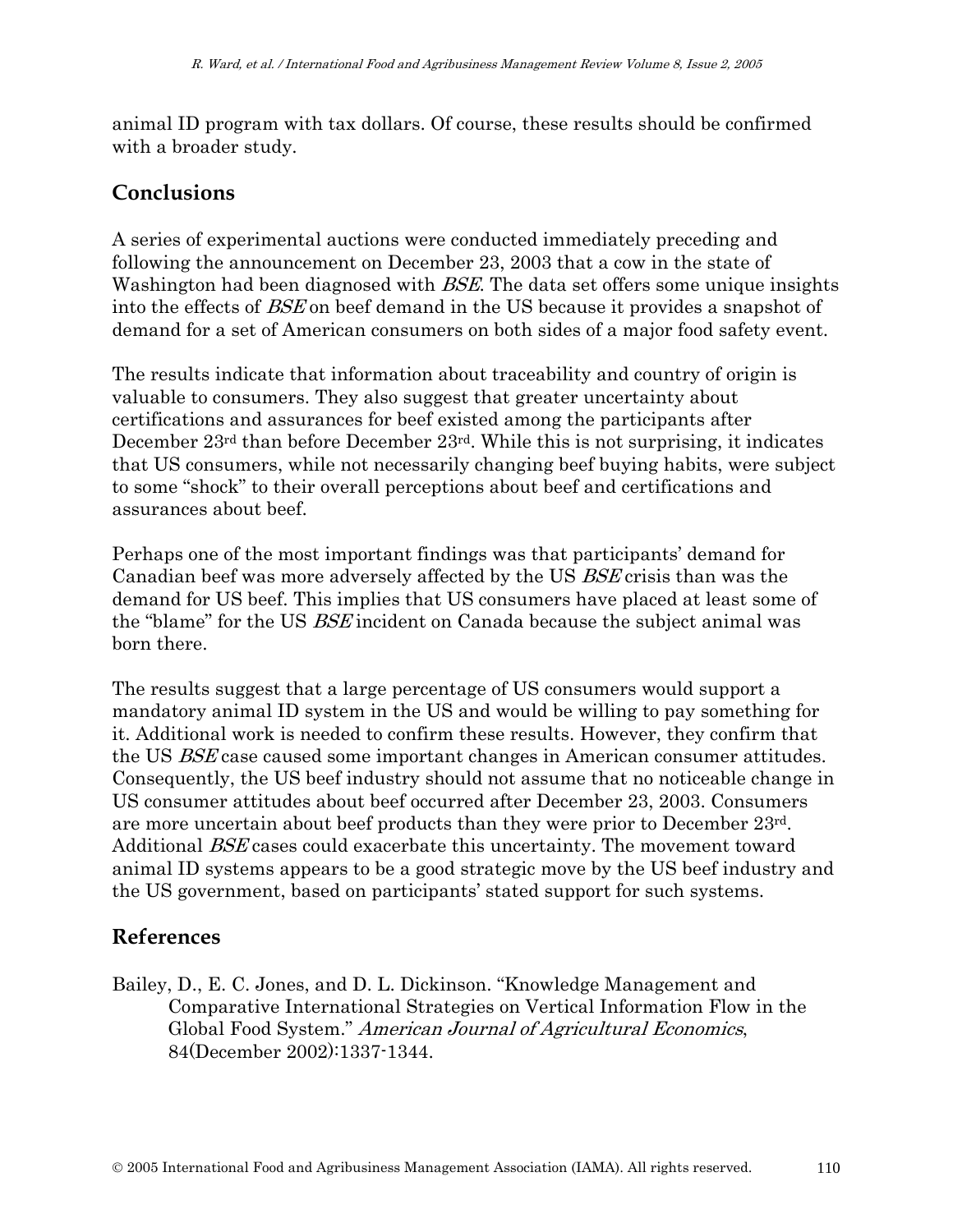animal ID program with tax dollars. Of course, these results should be confirmed with a broader study.

## **Conclusions**

A series of experimental auctions were conducted immediately preceding and following the announcement on December 23, 2003 that a cow in the state of Washington had been diagnosed with *BSE*. The data set offers some unique insights into the effects of BSE on beef demand in the US because it provides a snapshot of demand for a set of American consumers on both sides of a major food safety event.

The results indicate that information about traceability and country of origin is valuable to consumers. They also suggest that greater uncertainty about certifications and assurances for beef existed among the participants after December 23rd than before December 23rd. While this is not surprising, it indicates that US consumers, while not necessarily changing beef buying habits, were subject to some "shock" to their overall perceptions about beef and certifications and assurances about beef.

Perhaps one of the most important findings was that participants' demand for Canadian beef was more adversely affected by the US BSE crisis than was the demand for US beef. This implies that US consumers have placed at least some of the "blame" for the US BSE incident on Canada because the subject animal was born there.

The results suggest that a large percentage of US consumers would support a mandatory animal ID system in the US and would be willing to pay something for it. Additional work is needed to confirm these results. However, they confirm that the US BSE case caused some important changes in American consumer attitudes. Consequently, the US beef industry should not assume that no noticeable change in US consumer attitudes about beef occurred after December 23, 2003. Consumers are more uncertain about beef products than they were prior to December 23rd. Additional *BSE* cases could exacerbate this uncertainty. The movement toward animal ID systems appears to be a good strategic move by the US beef industry and the US government, based on participants' stated support for such systems.

# **References**

Bailey, D., E. C. Jones, and D. L. Dickinson. "Knowledge Management and Comparative International Strategies on Vertical Information Flow in the Global Food System." American Journal of Agricultural Economics, 84(December 2002):1337-1344.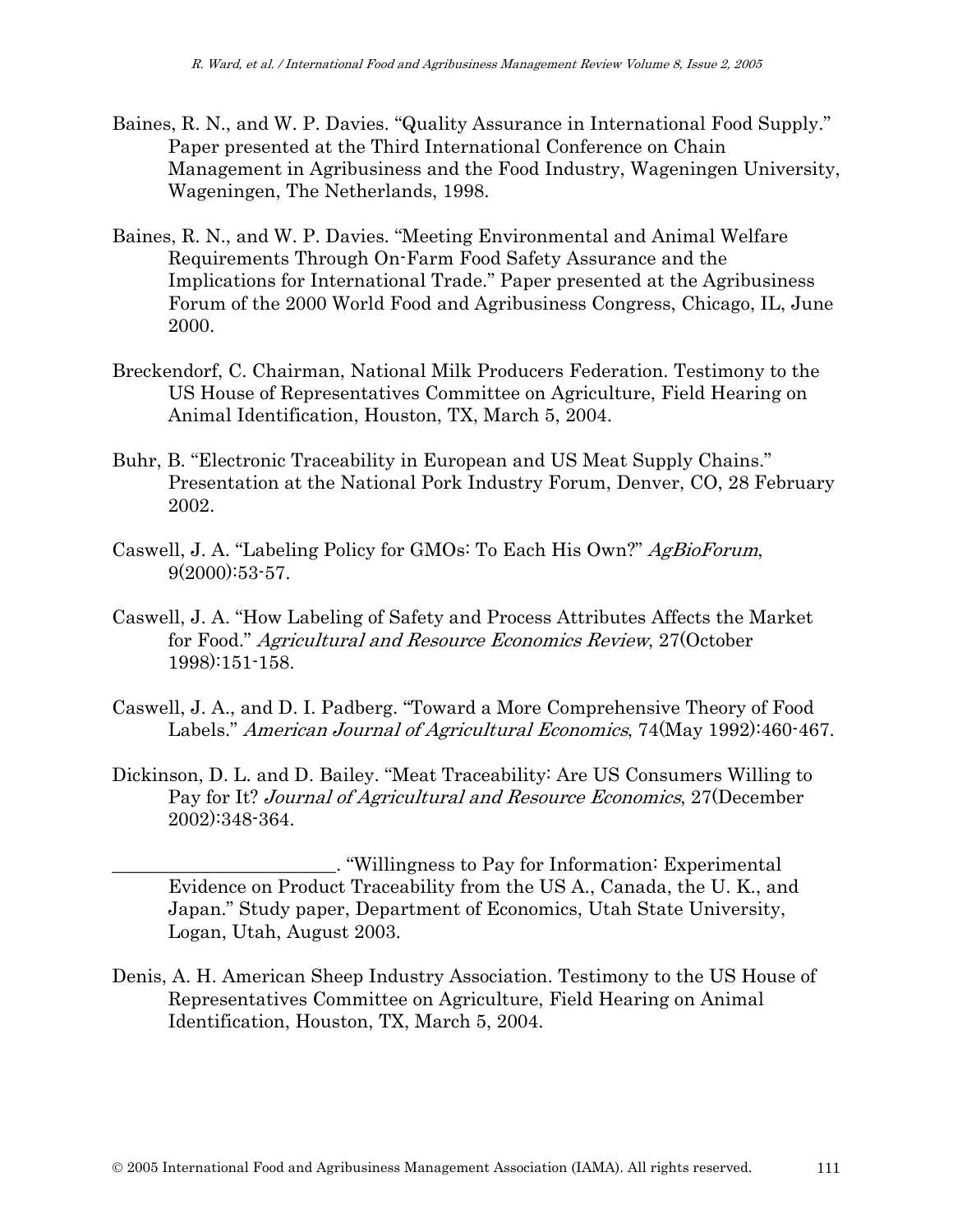- Baines, R. N., and W. P. Davies. "Quality Assurance in International Food Supply." Paper presented at the Third International Conference on Chain Management in Agribusiness and the Food Industry, Wageningen University, Wageningen, The Netherlands, 1998.
- Baines, R. N., and W. P. Davies. "Meeting Environmental and Animal Welfare Requirements Through On-Farm Food Safety Assurance and the Implications for International Trade." Paper presented at the Agribusiness Forum of the 2000 World Food and Agribusiness Congress, Chicago, IL, June 2000.
- Breckendorf, C. Chairman, National Milk Producers Federation. Testimony to the US House of Representatives Committee on Agriculture, Field Hearing on Animal Identification, Houston, TX, March 5, 2004.
- Buhr, B. "Electronic Traceability in European and US Meat Supply Chains." Presentation at the National Pork Industry Forum, Denver, CO, 28 February 2002.
- Caswell, J. A. "Labeling Policy for GMOs: To Each His Own?" AgBioForum, 9(2000):53-57.
- Caswell, J. A. "How Labeling of Safety and Process Attributes Affects the Market for Food." Agricultural and Resource Economics Review, 27(October 1998):151-158.
- Caswell, J. A., and D. I. Padberg. "Toward a More Comprehensive Theory of Food Labels." American Journal of Agricultural Economics, 74(May 1992):460-467.
- Dickinson, D. L. and D. Bailey. "Meat Traceability: Are US Consumers Willing to Pay for It? Journal of Agricultural and Resource Economics, 27(December 2002):348-364.

\_\_\_\_\_\_\_\_\_\_\_\_\_\_\_\_\_\_\_\_\_\_\_\_. "Willingness to Pay for Information: Experimental Evidence on Product Traceability from the US A., Canada, the U. K., and Japan." Study paper, Department of Economics, Utah State University, Logan, Utah, August 2003.

Denis, A. H. American Sheep Industry Association. Testimony to the US House of Representatives Committee on Agriculture, Field Hearing on Animal Identification, Houston, TX, March 5, 2004.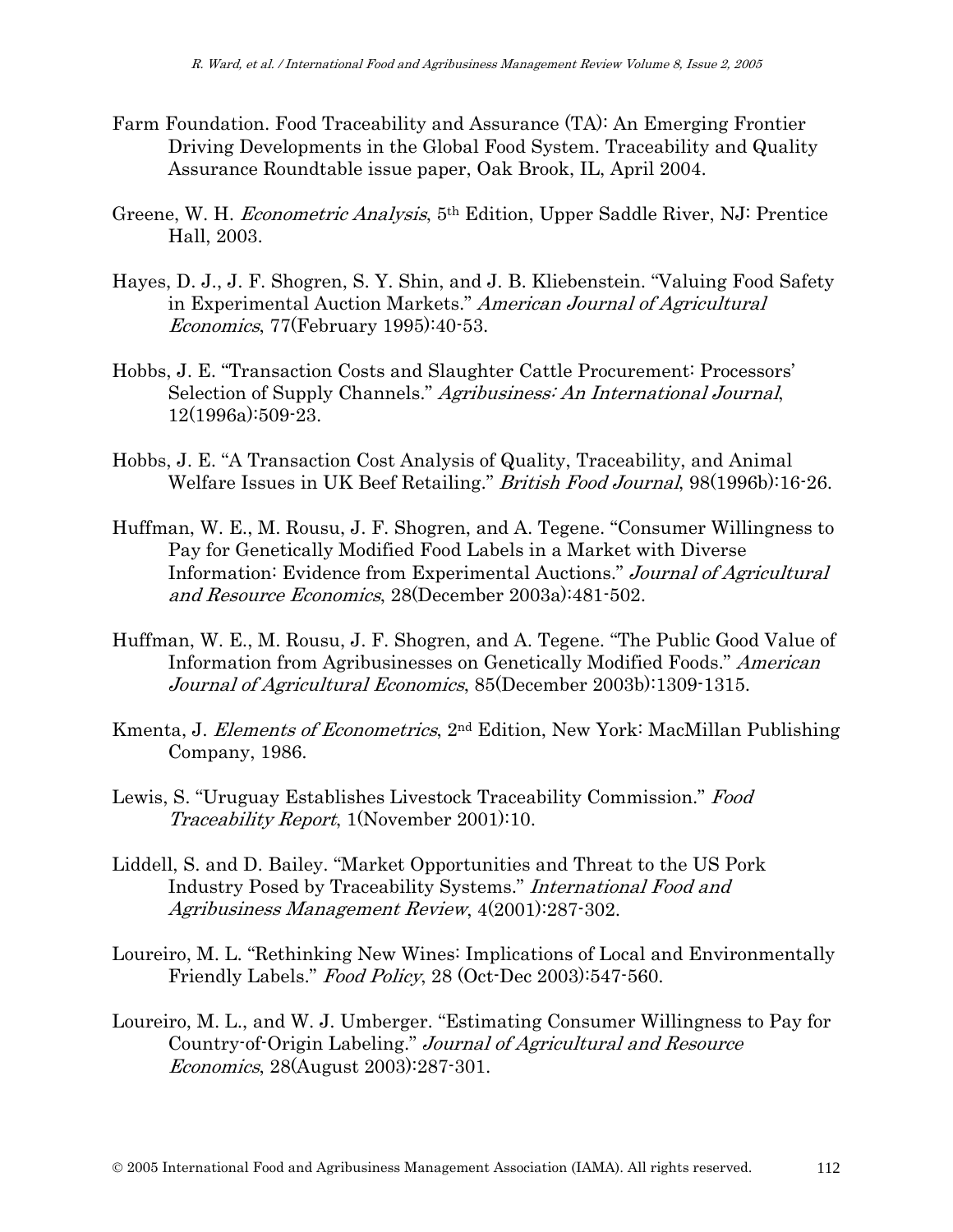- Farm Foundation. Food Traceability and Assurance (TA): An Emerging Frontier Driving Developments in the Global Food System. Traceability and Quality Assurance Roundtable issue paper, Oak Brook, IL, April 2004.
- Greene, W. H. Econometric Analysis, 5th Edition, Upper Saddle River, NJ: Prentice Hall, 2003.
- Hayes, D. J., J. F. Shogren, S. Y. Shin, and J. B. Kliebenstein. "Valuing Food Safety in Experimental Auction Markets." American Journal of Agricultural Economics, 77(February 1995):40-53.
- Hobbs, J. E. "Transaction Costs and Slaughter Cattle Procurement: Processors' Selection of Supply Channels." Agribusiness: An International Journal, 12(1996a):509-23.
- Hobbs, J. E. "A Transaction Cost Analysis of Quality, Traceability, and Animal Welfare Issues in UK Beef Retailing." British Food Journal, 98(1996b):16-26.
- Huffman, W. E., M. Rousu, J. F. Shogren, and A. Tegene. "Consumer Willingness to Pay for Genetically Modified Food Labels in a Market with Diverse Information: Evidence from Experimental Auctions." Journal of Agricultural and Resource Economics, 28(December 2003a):481-502.
- Huffman, W. E., M. Rousu, J. F. Shogren, and A. Tegene. "The Public Good Value of Information from Agribusinesses on Genetically Modified Foods." American Journal of Agricultural Economics, 85(December 2003b):1309-1315.
- Kmenta, J. Elements of Econometrics, 2nd Edition, New York: MacMillan Publishing Company, 1986.
- Lewis, S. "Uruguay Establishes Livestock Traceability Commission." Food Traceability Report, 1(November 2001):10.
- Liddell, S. and D. Bailey. "Market Opportunities and Threat to the US Pork Industry Posed by Traceability Systems." International Food and Agribusiness Management Review, 4(2001):287-302.
- Loureiro, M. L. "Rethinking New Wines: Implications of Local and Environmentally Friendly Labels." *Food Policy*, 28 (Oct-Dec 2003):547-560.
- Loureiro, M. L., and W. J. Umberger. "Estimating Consumer Willingness to Pay for Country-of-Origin Labeling." Journal of Agricultural and Resource Economics, 28(August 2003):287-301.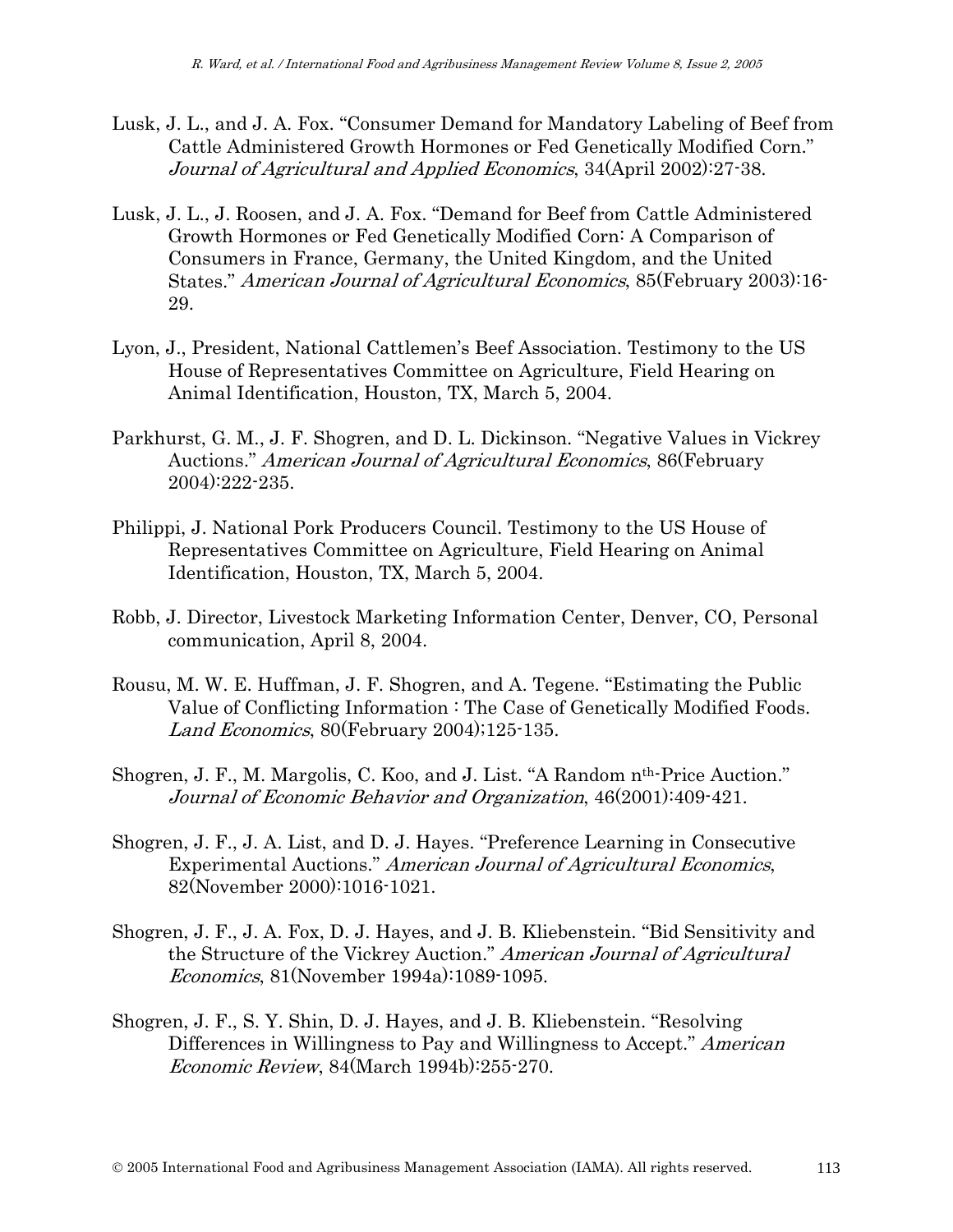- Lusk, J. L., and J. A. Fox. "Consumer Demand for Mandatory Labeling of Beef from Cattle Administered Growth Hormones or Fed Genetically Modified Corn." Journal of Agricultural and Applied Economics, 34(April 2002):27-38.
- Lusk, J. L., J. Roosen, and J. A. Fox. "Demand for Beef from Cattle Administered Growth Hormones or Fed Genetically Modified Corn: A Comparison of Consumers in France, Germany, the United Kingdom, and the United States." American Journal of Agricultural Economics, 85(February 2003):16- 29.
- Lyon, J., President, National Cattlemen's Beef Association. Testimony to the US House of Representatives Committee on Agriculture, Field Hearing on Animal Identification, Houston, TX, March 5, 2004.
- Parkhurst, G. M., J. F. Shogren, and D. L. Dickinson. "Negative Values in Vickrey Auctions." *American Journal of Agricultural Economics*, 86(February 2004):222-235.
- Philippi, J. National Pork Producers Council. Testimony to the US House of Representatives Committee on Agriculture, Field Hearing on Animal Identification, Houston, TX, March 5, 2004.
- Robb, J. Director, Livestock Marketing Information Center, Denver, CO, Personal communication, April 8, 2004.
- Rousu, M. W. E. Huffman, J. F. Shogren, and A. Tegene. "Estimating the Public Value of Conflicting Information : The Case of Genetically Modified Foods. Land Economics, 80(February 2004);125-135.
- Shogren, J. F., M. Margolis, C. Koo, and J. List. "A Random nth-Price Auction." Journal of Economic Behavior and Organization, 46(2001):409-421.
- Shogren, J. F., J. A. List, and D. J. Hayes. "Preference Learning in Consecutive Experimental Auctions." American Journal of Agricultural Economics, 82(November 2000):1016-1021.
- Shogren, J. F., J. A. Fox, D. J. Hayes, and J. B. Kliebenstein. "Bid Sensitivity and the Structure of the Vickrey Auction." American Journal of Agricultural Economics, 81(November 1994a):1089-1095.
- Shogren, J. F., S. Y. Shin, D. J. Hayes, and J. B. Kliebenstein. "Resolving Differences in Willingness to Pay and Willingness to Accept." American Economic Review, 84(March 1994b):255-270.